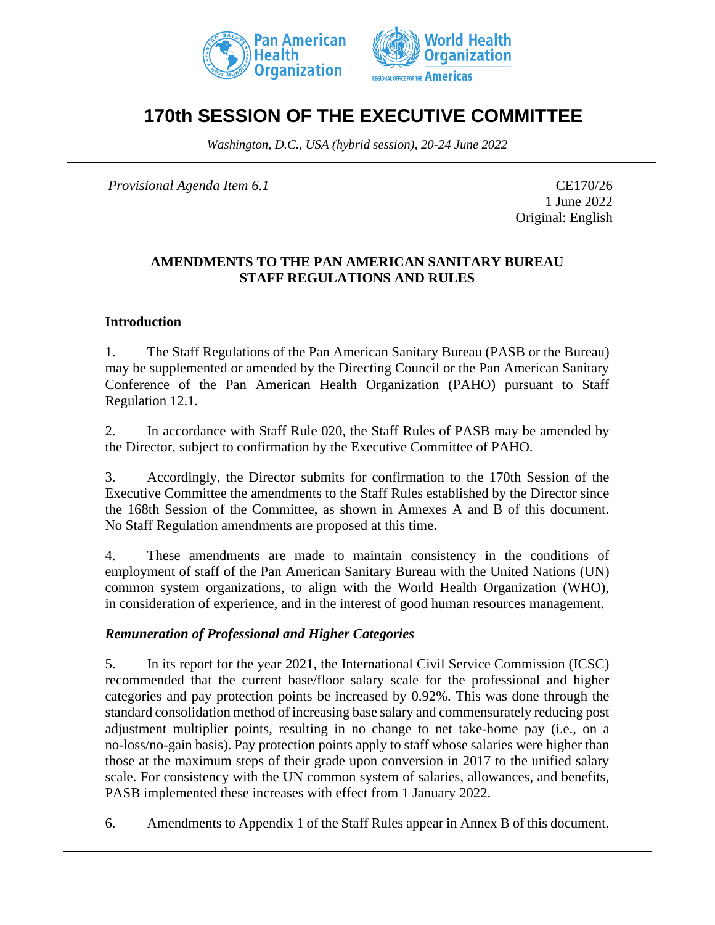



# **170th SESSION OF THE EXECUTIVE COMMITTEE**

*Washington, D.C., USA (hybrid session), 20-24 June 2022*

*Provisional Agenda Item 6.1* CE170/26

1 June 2022 Original: English

#### **AMENDMENTS TO THE PAN AMERICAN SANITARY BUREAU STAFF REGULATIONS AND RULES**

#### **Introduction**

1. The Staff Regulations of the Pan American Sanitary Bureau (PASB or the Bureau) may be supplemented or amended by the Directing Council or the Pan American Sanitary Conference of the Pan American Health Organization (PAHO) pursuant to Staff Regulation 12.1.

2. In accordance with Staff Rule 020, the Staff Rules of PASB may be amended by the Director, subject to confirmation by the Executive Committee of PAHO.

3. Accordingly, the Director submits for confirmation to the 170th Session of the Executive Committee the amendments to the Staff Rules established by the Director since the 168th Session of the Committee, as shown in Annexes A and B of this document. No Staff Regulation amendments are proposed at this time.

4. These amendments are made to maintain consistency in the conditions of employment of staff of the Pan American Sanitary Bureau with the United Nations (UN) common system organizations, to align with the World Health Organization (WHO), in consideration of experience, and in the interest of good human resources management.

#### *Remuneration of Professional and Higher Categories*

5. In its report for the year 2021, the International Civil Service Commission (ICSC) recommended that the current base/floor salary scale for the professional and higher categories and pay protection points be increased by 0.92%. This was done through the standard consolidation method of increasing base salary and commensurately reducing post adjustment multiplier points, resulting in no change to net take-home pay (i.e., on a no-loss/no-gain basis). Pay protection points apply to staff whose salaries were higher than those at the maximum steps of their grade upon conversion in 2017 to the unified salary scale. For consistency with the UN common system of salaries, allowances, and benefits, PASB implemented these increases with effect from 1 January 2022.

6. Amendments to Appendix 1 of the Staff Rules appear in Annex B of this document.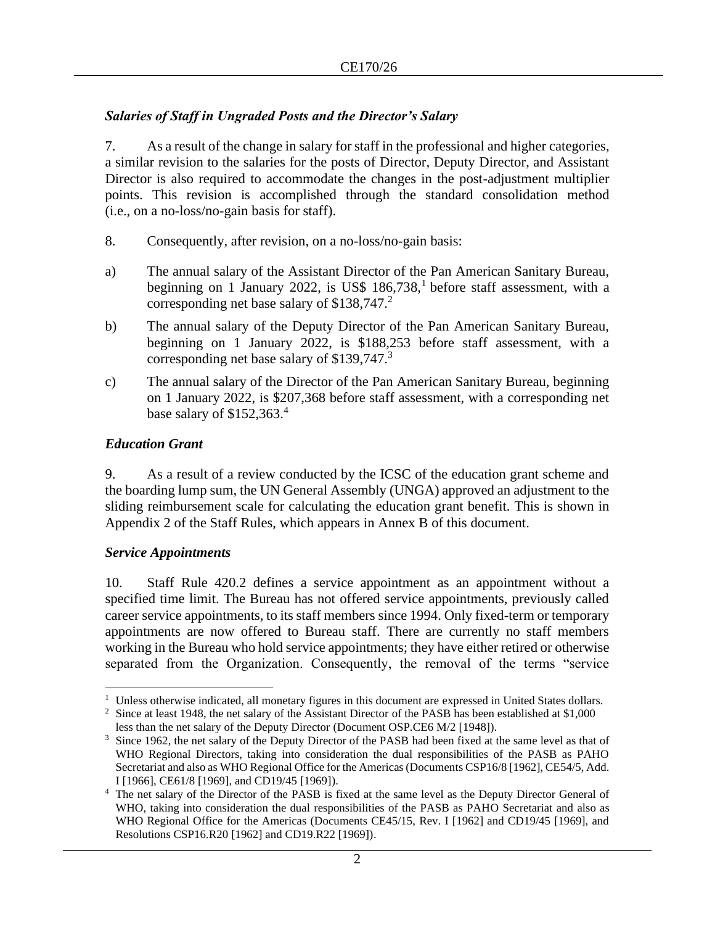#### *Salaries of Staff in Ungraded Posts and the Director's Salary*

7. As a result of the change in salary for staff in the professional and higher categories, a similar revision to the salaries for the posts of Director, Deputy Director, and Assistant Director is also required to accommodate the changes in the post-adjustment multiplier points. This revision is accomplished through the standard consolidation method (i.e., on a no-loss/no-gain basis for staff).

- 8. Consequently, after revision, on a no-loss/no-gain basis:
- a) The annual salary of the Assistant Director of the Pan American Sanitary Bureau, beginning on 1 January 2022, is US\$ 186,738,<sup>1</sup> before staff assessment, with a corresponding net base salary of \$138,747.<sup>2</sup>
- b) The annual salary of the Deputy Director of the Pan American Sanitary Bureau, beginning on 1 January 2022, is \$188,253 before staff assessment, with a corresponding net base salary of  $$139,747.^3$
- c) The annual salary of the Director of the Pan American Sanitary Bureau, beginning on 1 January 2022, is \$207,368 before staff assessment, with a corresponding net base salary of \$152,363.<sup>4</sup>

#### *Education Grant*

9. As a result of a review conducted by the ICSC of the education grant scheme and the boarding lump sum, the UN General Assembly (UNGA) approved an adjustment to the sliding reimbursement scale for calculating the education grant benefit. This is shown in Appendix 2 of the Staff Rules, which appears in Annex B of this document.

#### *Service Appointments*

10. Staff Rule 420.2 defines a service appointment as an appointment without a specified time limit. The Bureau has not offered service appointments, previously called career service appointments, to its staff members since 1994. Only fixed-term or temporary appointments are now offered to Bureau staff. There are currently no staff members working in the Bureau who hold service appointments; they have either retired or otherwise separated from the Organization. Consequently, the removal of the terms "service

<sup>&</sup>lt;sup>1</sup> Unless otherwise indicated, all monetary figures in this document are expressed in United States dollars.

<sup>&</sup>lt;sup>2</sup> Since at least 1948, the net salary of the Assistant Director of the PASB has been established at \$1,000 less than the net salary of the Deputy Director (Document OSP.CE6 M/2 [1948]).

<sup>&</sup>lt;sup>3</sup> Since 1962, the net salary of the Deputy Director of the PASB had been fixed at the same level as that of WHO Regional Directors, taking into consideration the dual responsibilities of the PASB as PAHO Secretariat and also as WHO Regional Office for the Americas (Documents CSP16/8 [1962], CE54/5, Add. I [1966], CE61/8 [1969], and CD19/45 [1969]).

<sup>4</sup> The net salary of the Director of the PASB is fixed at the same level as the Deputy Director General of WHO, taking into consideration the dual responsibilities of the PASB as PAHO Secretariat and also as WHO Regional Office for the Americas (Documents CE45/15, Rev. I [1962] and CD19/45 [1969], and Resolutions CSP16.R20 [1962] and CD19.R22 [1969]).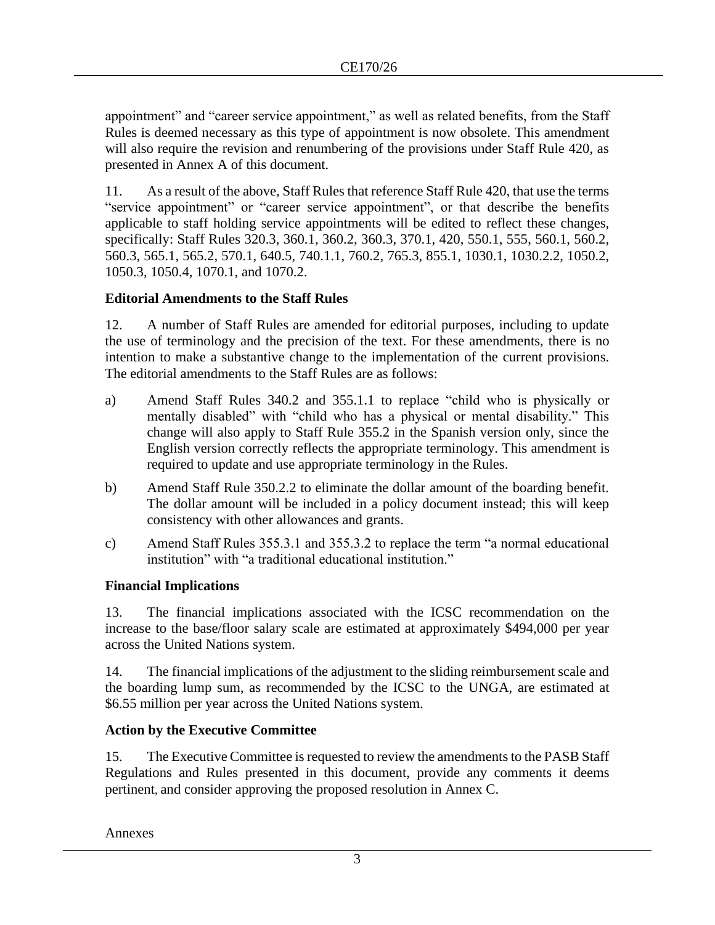appointment" and "career service appointment," as well as related benefits, from the Staff Rules is deemed necessary as this type of appointment is now obsolete. This amendment will also require the revision and renumbering of the provisions under Staff Rule 420, as presented in Annex A of this document.

11. As a result of the above, Staff Rules that reference Staff Rule 420, that use the terms "service appointment" or "career service appointment", or that describe the benefits applicable to staff holding service appointments will be edited to reflect these changes, specifically: Staff Rules 320.3, 360.1, 360.2, 360.3, 370.1, 420, 550.1, 555, 560.1, 560.2, 560.3, 565.1, 565.2, 570.1, 640.5, 740.1.1, 760.2, 765.3, 855.1, 1030.1, 1030.2.2, 1050.2, 1050.3, 1050.4, 1070.1, and 1070.2.

## **Editorial Amendments to the Staff Rules**

12. A number of Staff Rules are amended for editorial purposes, including to update the use of terminology and the precision of the text. For these amendments, there is no intention to make a substantive change to the implementation of the current provisions. The editorial amendments to the Staff Rules are as follows:

- a) Amend Staff Rules 340.2 and 355.1.1 to replace "child who is physically or mentally disabled" with "child who has a physical or mental disability." This change will also apply to Staff Rule 355.2 in the Spanish version only, since the English version correctly reflects the appropriate terminology. This amendment is required to update and use appropriate terminology in the Rules.
- b) Amend Staff Rule 350.2.2 to eliminate the dollar amount of the boarding benefit. The dollar amount will be included in a policy document instead; this will keep consistency with other allowances and grants.
- c) Amend Staff Rules 355.3.1 and 355.3.2 to replace the term "a normal educational institution" with "a traditional educational institution."

#### **Financial Implications**

13. The financial implications associated with the ICSC recommendation on the increase to the base/floor salary scale are estimated at approximately \$494,000 per year across the United Nations system.

14. The financial implications of the adjustment to the sliding reimbursement scale and the boarding lump sum, as recommended by the ICSC to the UNGA, are estimated at \$6.55 million per year across the United Nations system.

## **Action by the Executive Committee**

15. The Executive Committee is requested to review the amendments to the PASB Staff Regulations and Rules presented in this document, provide any comments it deems pertinent, and consider approving the proposed resolution in Annex C.

Annexes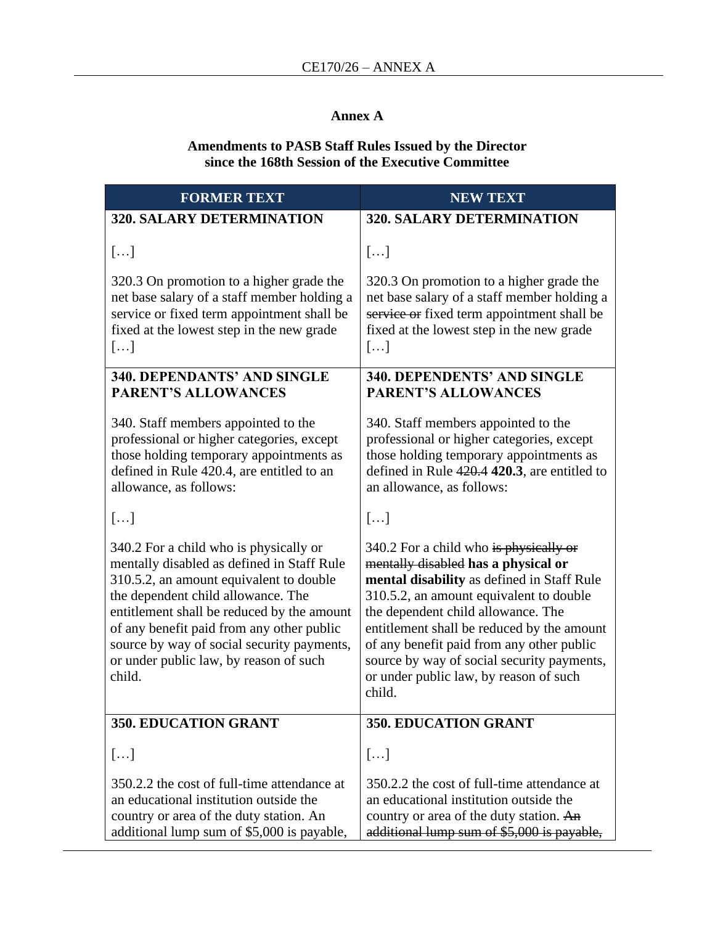#### **Annex A**

#### **Amendments to PASB Staff Rules Issued by the Director since the 168th Session of the Executive Committee**

| <b>FORMER TEXT</b>                                                                                                                                                                                                                                                                                                                                                 | <b>NEW TEXT</b>                                                                                                                                                                                                                                                                                                                                                                                           |  |  |
|--------------------------------------------------------------------------------------------------------------------------------------------------------------------------------------------------------------------------------------------------------------------------------------------------------------------------------------------------------------------|-----------------------------------------------------------------------------------------------------------------------------------------------------------------------------------------------------------------------------------------------------------------------------------------------------------------------------------------------------------------------------------------------------------|--|--|
| <b>320. SALARY DETERMINATION</b>                                                                                                                                                                                                                                                                                                                                   | <b>320. SALARY DETERMINATION</b>                                                                                                                                                                                                                                                                                                                                                                          |  |  |
| []                                                                                                                                                                                                                                                                                                                                                                 | []                                                                                                                                                                                                                                                                                                                                                                                                        |  |  |
| 320.3 On promotion to a higher grade the<br>net base salary of a staff member holding a<br>service or fixed term appointment shall be<br>fixed at the lowest step in the new grade<br>[]                                                                                                                                                                           | 320.3 On promotion to a higher grade the<br>net base salary of a staff member holding a<br>service or fixed term appointment shall be<br>fixed at the lowest step in the new grade<br>[]                                                                                                                                                                                                                  |  |  |
| 340. DEPENDANTS' AND SINGLE<br><b>PARENT'S ALLOWANCES</b>                                                                                                                                                                                                                                                                                                          | 340. DEPENDENTS' AND SINGLE<br><b>PARENT'S ALLOWANCES</b>                                                                                                                                                                                                                                                                                                                                                 |  |  |
| 340. Staff members appointed to the<br>professional or higher categories, except<br>those holding temporary appointments as<br>defined in Rule 420.4, are entitled to an<br>allowance, as follows:                                                                                                                                                                 | 340. Staff members appointed to the<br>professional or higher categories, except<br>those holding temporary appointments as<br>defined in Rule 420.4 420.3, are entitled to<br>an allowance, as follows:                                                                                                                                                                                                  |  |  |
| []                                                                                                                                                                                                                                                                                                                                                                 | []                                                                                                                                                                                                                                                                                                                                                                                                        |  |  |
| 340.2 For a child who is physically or<br>mentally disabled as defined in Staff Rule<br>310.5.2, an amount equivalent to double<br>the dependent child allowance. The<br>entitlement shall be reduced by the amount<br>of any benefit paid from any other public<br>source by way of social security payments,<br>or under public law, by reason of such<br>child. | 340.2 For a child who is physically or<br>mentally disabled has a physical or<br>mental disability as defined in Staff Rule<br>310.5.2, an amount equivalent to double<br>the dependent child allowance. The<br>entitlement shall be reduced by the amount<br>of any benefit paid from any other public<br>source by way of social security payments,<br>or under public law, by reason of such<br>child. |  |  |
| 350. EDUCATION GRANT                                                                                                                                                                                                                                                                                                                                               | <b>350. EDUCATION GRANT</b>                                                                                                                                                                                                                                                                                                                                                                               |  |  |
| []                                                                                                                                                                                                                                                                                                                                                                 | []                                                                                                                                                                                                                                                                                                                                                                                                        |  |  |
| 350.2.2 the cost of full-time attendance at<br>an educational institution outside the<br>country or area of the duty station. An<br>additional lump sum of \$5,000 is payable,                                                                                                                                                                                     | 350.2.2 the cost of full-time attendance at<br>an educational institution outside the<br>country or area of the duty station. An<br>additional lump sum of \$5,000 is payable,                                                                                                                                                                                                                            |  |  |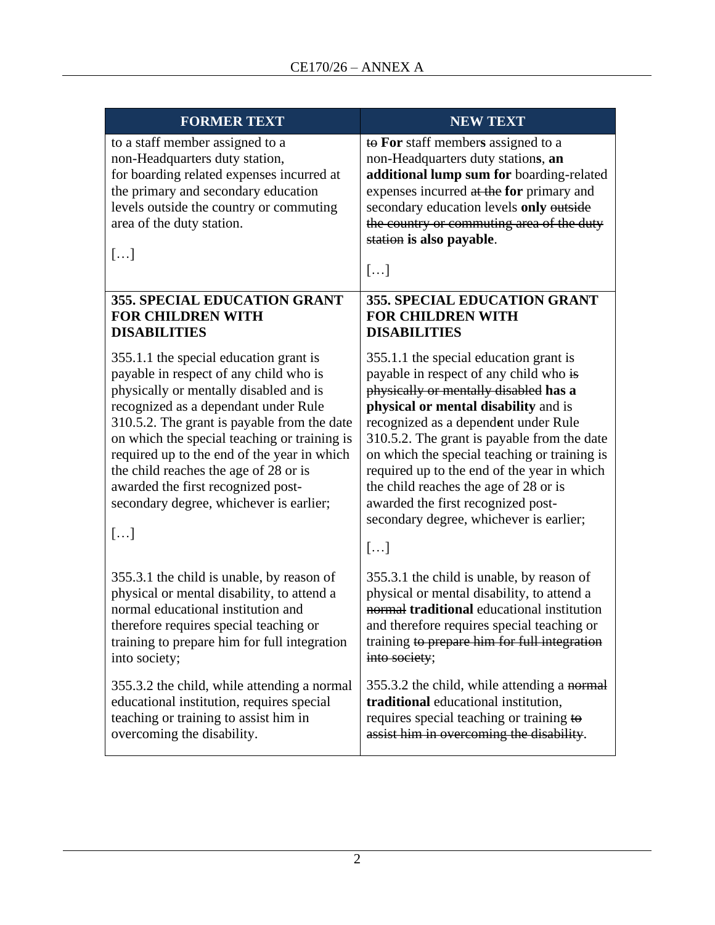| <b>FORMER TEXT</b>                                                                                                                                                                                                                                                                                                                                                                                                                               | <b>NEW TEXT</b>                                                                                                                                                                                                                                                                                                                                                                                                                                                                         |
|--------------------------------------------------------------------------------------------------------------------------------------------------------------------------------------------------------------------------------------------------------------------------------------------------------------------------------------------------------------------------------------------------------------------------------------------------|-----------------------------------------------------------------------------------------------------------------------------------------------------------------------------------------------------------------------------------------------------------------------------------------------------------------------------------------------------------------------------------------------------------------------------------------------------------------------------------------|
| to a staff member assigned to a<br>non-Headquarters duty station,<br>for boarding related expenses incurred at<br>the primary and secondary education<br>levels outside the country or commuting<br>area of the duty station.<br>[]                                                                                                                                                                                                              | to For staff members assigned to a<br>non-Headquarters duty stations, an<br>additional lump sum for boarding-related<br>expenses incurred at the for primary and<br>secondary education levels only outside<br>the country or commuting area of the duty<br>station is also payable.<br>[]                                                                                                                                                                                              |
| 355. SPECIAL EDUCATION GRANT                                                                                                                                                                                                                                                                                                                                                                                                                     | 355. SPECIAL EDUCATION GRANT                                                                                                                                                                                                                                                                                                                                                                                                                                                            |
| <b>FOR CHILDREN WITH</b>                                                                                                                                                                                                                                                                                                                                                                                                                         | <b>FOR CHILDREN WITH</b>                                                                                                                                                                                                                                                                                                                                                                                                                                                                |
| <b>DISABILITIES</b>                                                                                                                                                                                                                                                                                                                                                                                                                              | <b>DISABILITIES</b>                                                                                                                                                                                                                                                                                                                                                                                                                                                                     |
| 355.1.1 the special education grant is<br>payable in respect of any child who is<br>physically or mentally disabled and is<br>recognized as a dependant under Rule<br>310.5.2. The grant is payable from the date<br>on which the special teaching or training is<br>required up to the end of the year in which<br>the child reaches the age of 28 or is<br>awarded the first recognized post-<br>secondary degree, whichever is earlier;<br>[] | 355.1.1 the special education grant is<br>payable in respect of any child who is<br>physically or mentally disabled has a<br>physical or mental disability and is<br>recognized as a dependent under Rule<br>310.5.2. The grant is payable from the date<br>on which the special teaching or training is<br>required up to the end of the year in which<br>the child reaches the age of 28 or is<br>awarded the first recognized post-<br>secondary degree, whichever is earlier;<br>[] |
| 355.3.1 the child is unable, by reason of                                                                                                                                                                                                                                                                                                                                                                                                        | 355.3.1 the child is unable, by reason of                                                                                                                                                                                                                                                                                                                                                                                                                                               |
| physical or mental disability, to attend a                                                                                                                                                                                                                                                                                                                                                                                                       | physical or mental disability, to attend a                                                                                                                                                                                                                                                                                                                                                                                                                                              |
| normal educational institution and                                                                                                                                                                                                                                                                                                                                                                                                               | normal traditional educational institution                                                                                                                                                                                                                                                                                                                                                                                                                                              |
| therefore requires special teaching or                                                                                                                                                                                                                                                                                                                                                                                                           | and therefore requires special teaching or                                                                                                                                                                                                                                                                                                                                                                                                                                              |
| training to prepare him for full integration                                                                                                                                                                                                                                                                                                                                                                                                     | training to prepare him for full integration                                                                                                                                                                                                                                                                                                                                                                                                                                            |
| into society;                                                                                                                                                                                                                                                                                                                                                                                                                                    | into society;                                                                                                                                                                                                                                                                                                                                                                                                                                                                           |
| 355.3.2 the child, while attending a normal                                                                                                                                                                                                                                                                                                                                                                                                      | 355.3.2 the child, while attending a normal                                                                                                                                                                                                                                                                                                                                                                                                                                             |
| educational institution, requires special                                                                                                                                                                                                                                                                                                                                                                                                        | traditional educational institution,                                                                                                                                                                                                                                                                                                                                                                                                                                                    |
| teaching or training to assist him in                                                                                                                                                                                                                                                                                                                                                                                                            | requires special teaching or training to                                                                                                                                                                                                                                                                                                                                                                                                                                                |
| overcoming the disability.                                                                                                                                                                                                                                                                                                                                                                                                                       | assist him in overcoming the disability.                                                                                                                                                                                                                                                                                                                                                                                                                                                |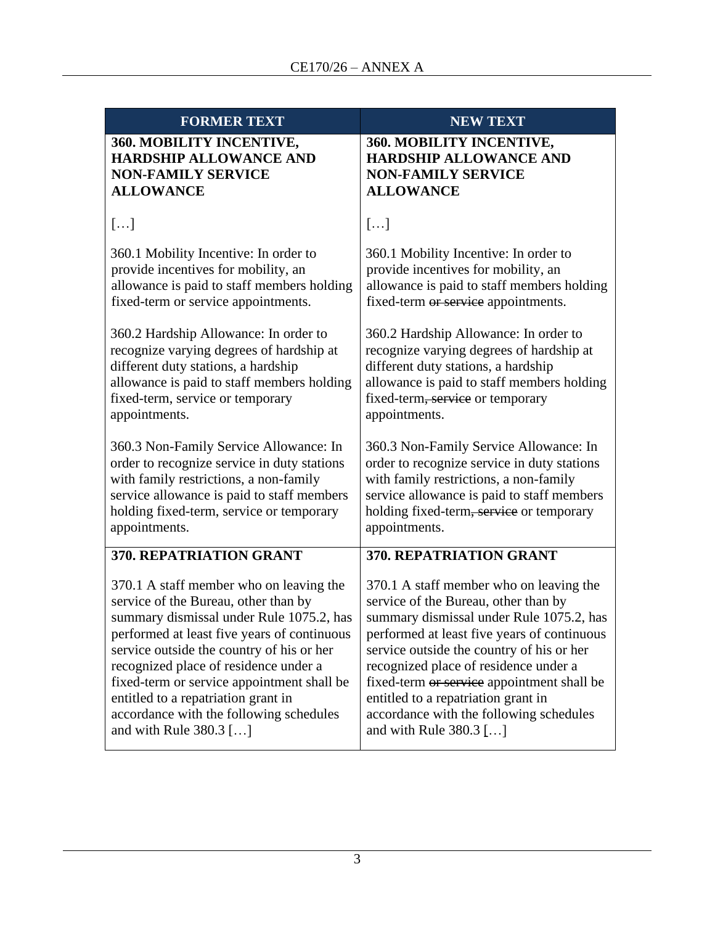| <b>FORMER TEXT</b>                          | <b>NEW TEXT</b>                             |
|---------------------------------------------|---------------------------------------------|
| <b>360. MOBILITY INCENTIVE,</b>             | <b>360. MOBILITY INCENTIVE,</b>             |
| <b>HARDSHIP ALLOWANCE AND</b>               | <b>HARDSHIP ALLOWANCE AND</b>               |
| <b>NON-FAMILY SERVICE</b>                   | <b>NON-FAMILY SERVICE</b>                   |
| <b>ALLOWANCE</b>                            | <b>ALLOWANCE</b>                            |
| []                                          | []                                          |
| 360.1 Mobility Incentive: In order to       | 360.1 Mobility Incentive: In order to       |
| provide incentives for mobility, an         | provide incentives for mobility, an         |
| allowance is paid to staff members holding  | allowance is paid to staff members holding  |
| fixed-term or service appointments.         | fixed-term or service appointments.         |
| 360.2 Hardship Allowance: In order to       | 360.2 Hardship Allowance: In order to       |
| recognize varying degrees of hardship at    | recognize varying degrees of hardship at    |
| different duty stations, a hardship         | different duty stations, a hardship         |
| allowance is paid to staff members holding  | allowance is paid to staff members holding  |
| fixed-term, service or temporary            | fixed-term, service or temporary            |
| appointments.                               | appointments.                               |
| 360.3 Non-Family Service Allowance: In      | 360.3 Non-Family Service Allowance: In      |
| order to recognize service in duty stations | order to recognize service in duty stations |
| with family restrictions, a non-family      | with family restrictions, a non-family      |
| service allowance is paid to staff members  | service allowance is paid to staff members  |
| holding fixed-term, service or temporary    | holding fixed-term, service or temporary    |
| appointments.                               | appointments.                               |
| 370. REPATRIATION GRANT                     | 370. REPATRIATION GRANT                     |
| 370.1 A staff member who on leaving the     | 370.1 A staff member who on leaving the     |
| service of the Bureau, other than by        | service of the Bureau, other than by        |
| summary dismissal under Rule 1075.2, has    | summary dismissal under Rule 1075.2, has    |
| performed at least five years of continuous | performed at least five years of continuous |
| service outside the country of his or her   | service outside the country of his or her   |
| recognized place of residence under a       | recognized place of residence under a       |
| fixed-term or service appointment shall be  | fixed-term or service appointment shall be  |
| entitled to a repatriation grant in         | entitled to a repatriation grant in         |
| accordance with the following schedules     | accordance with the following schedules     |
| and with Rule 380.3 []                      | and with Rule 380.3 []                      |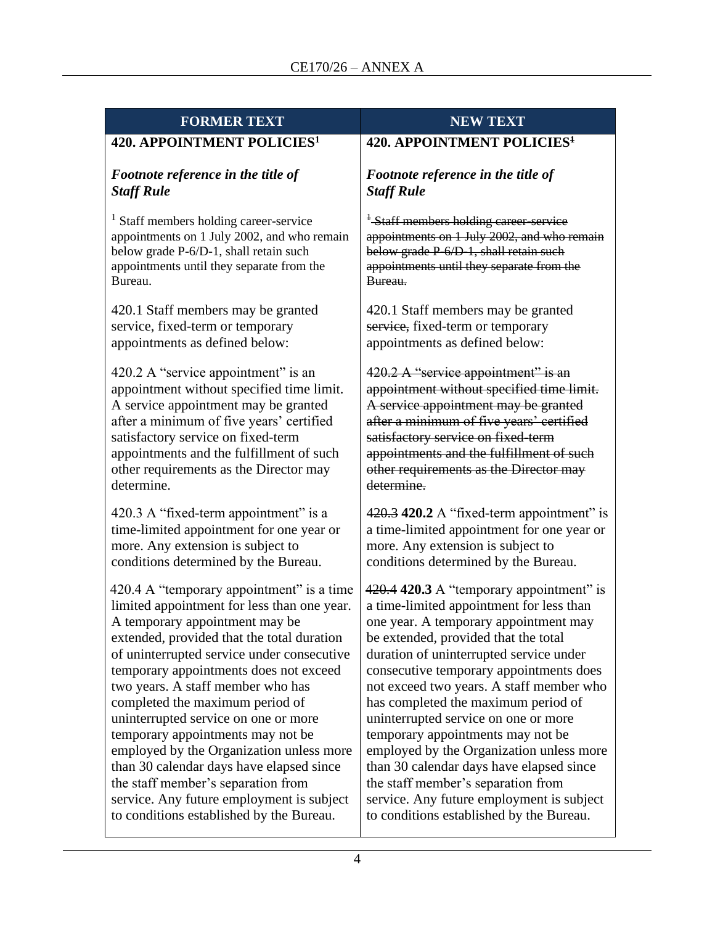| <b>FORMER TEXT</b>                          | <b>NEW TEXT</b>                                    |  |  |  |
|---------------------------------------------|----------------------------------------------------|--|--|--|
| 420. APPOINTMENT POLICIES <sup>1</sup>      | 420. APPOINTMENT POLICIES <sup>1</sup>             |  |  |  |
| Footnote reference in the title of          | Footnote reference in the title of                 |  |  |  |
| <b>Staff Rule</b>                           | <b>Staff Rule</b>                                  |  |  |  |
| $1$ Staff members holding career-service    | <sup>1</sup> -Staff members holding career-service |  |  |  |
| appointments on 1 July 2002, and who remain | appointments on 1 July 2002, and who remain        |  |  |  |
| below grade P-6/D-1, shall retain such      | below grade P-6/D-1, shall retain such             |  |  |  |
| appointments until they separate from the   | appointments until they separate from the          |  |  |  |
| Bureau.                                     | Bureau.                                            |  |  |  |
| 420.1 Staff members may be granted          | 420.1 Staff members may be granted                 |  |  |  |
| service, fixed-term or temporary            | service, fixed-term or temporary                   |  |  |  |
| appointments as defined below:              | appointments as defined below:                     |  |  |  |
| 420.2 A "service appointment" is an         | 420.2 A "service appointment" is an                |  |  |  |
| appointment without specified time limit.   | appointment without specified time limit.          |  |  |  |
| A service appointment may be granted        | A service appointment may be granted               |  |  |  |
| after a minimum of five years' certified    | after a minimum of five years' certified           |  |  |  |
| satisfactory service on fixed-term          | satisfactory service on fixed-term                 |  |  |  |
| appointments and the fulfillment of such    | appointments and the fulfillment of such           |  |  |  |
| other requirements as the Director may      | other requirements as the Director may             |  |  |  |
| determine.                                  | determine.                                         |  |  |  |
| 420.3 A "fixed-term appointment" is a       | 420.3 420.2 A "fixed-term appointment" is          |  |  |  |
| time-limited appointment for one year or    | a time-limited appointment for one year or         |  |  |  |
| more. Any extension is subject to           | more. Any extension is subject to                  |  |  |  |
| conditions determined by the Bureau.        | conditions determined by the Bureau.               |  |  |  |
| 420.4 A "temporary appointment" is a time   | 420.4 420.3 A "temporary appointment" is           |  |  |  |
| limited appointment for less than one year. | a time-limited appointment for less than           |  |  |  |
| A temporary appointment may be              | one year. A temporary appointment may              |  |  |  |
| extended, provided that the total duration  | be extended, provided that the total               |  |  |  |
| of uninterrupted service under consecutive  | duration of uninterrupted service under            |  |  |  |
| temporary appointments does not exceed      | consecutive temporary appointments does            |  |  |  |
| two years. A staff member who has           | not exceed two years. A staff member who           |  |  |  |
| completed the maximum period of             | has completed the maximum period of                |  |  |  |
| uninterrupted service on one or more        | uninterrupted service on one or more               |  |  |  |
| temporary appointments may not be           | temporary appointments may not be                  |  |  |  |
| employed by the Organization unless more    | employed by the Organization unless more           |  |  |  |
| than 30 calendar days have elapsed since    | than 30 calendar days have elapsed since           |  |  |  |
| the staff member's separation from          | the staff member's separation from                 |  |  |  |
| service. Any future employment is subject   | service. Any future employment is subject          |  |  |  |
| to conditions established by the Bureau.    | to conditions established by the Bureau.           |  |  |  |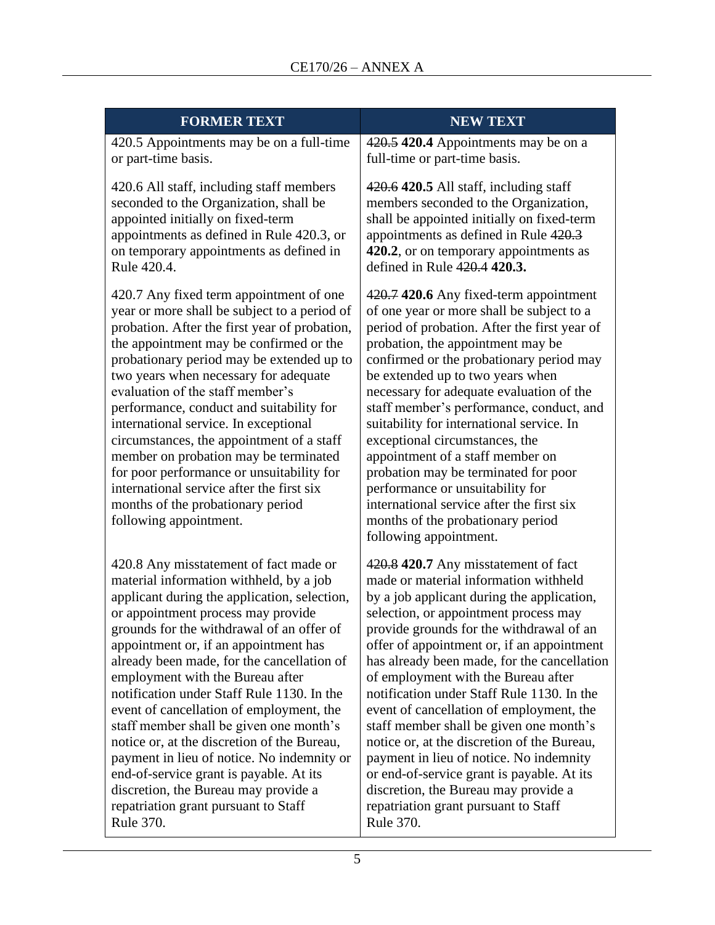| <b>FORMER TEXT</b>                                                                                                                                                                                                                                                                                                                                                                                                                                                                                                                                                                                                                                                                                           | <b>NEW TEXT</b>                                                                                                                                                                                                                                                                                                                                                                                                                                                                                                                                                                                                                                                                                                                                                                                                                                                                                                                                                                                                                                                                                                                                         |
|--------------------------------------------------------------------------------------------------------------------------------------------------------------------------------------------------------------------------------------------------------------------------------------------------------------------------------------------------------------------------------------------------------------------------------------------------------------------------------------------------------------------------------------------------------------------------------------------------------------------------------------------------------------------------------------------------------------|---------------------------------------------------------------------------------------------------------------------------------------------------------------------------------------------------------------------------------------------------------------------------------------------------------------------------------------------------------------------------------------------------------------------------------------------------------------------------------------------------------------------------------------------------------------------------------------------------------------------------------------------------------------------------------------------------------------------------------------------------------------------------------------------------------------------------------------------------------------------------------------------------------------------------------------------------------------------------------------------------------------------------------------------------------------------------------------------------------------------------------------------------------|
| 420.5 Appointments may be on a full-time<br>or part-time basis.                                                                                                                                                                                                                                                                                                                                                                                                                                                                                                                                                                                                                                              | 420.5 420.4 Appointments may be on a<br>full-time or part-time basis.                                                                                                                                                                                                                                                                                                                                                                                                                                                                                                                                                                                                                                                                                                                                                                                                                                                                                                                                                                                                                                                                                   |
| 420.6 All staff, including staff members<br>seconded to the Organization, shall be<br>appointed initially on fixed-term<br>appointments as defined in Rule 420.3, or<br>on temporary appointments as defined in<br>Rule 420.4.                                                                                                                                                                                                                                                                                                                                                                                                                                                                               | 420.6 420.5 All staff, including staff<br>members seconded to the Organization,<br>shall be appointed initially on fixed-term<br>appointments as defined in Rule 420.3<br>420.2, or on temporary appointments as<br>defined in Rule 420.4 420.3.                                                                                                                                                                                                                                                                                                                                                                                                                                                                                                                                                                                                                                                                                                                                                                                                                                                                                                        |
| 420.7 Any fixed term appointment of one<br>year or more shall be subject to a period of<br>probation. After the first year of probation,<br>the appointment may be confirmed or the<br>probationary period may be extended up to<br>two years when necessary for adequate<br>evaluation of the staff member's<br>performance, conduct and suitability for<br>international service. In exceptional<br>circumstances, the appointment of a staff<br>member on probation may be terminated<br>for poor performance or unsuitability for<br>international service after the first six<br>months of the probationary period<br>following appointment.                                                            | 420.7 420.6 Any fixed-term appointment<br>of one year or more shall be subject to a<br>period of probation. After the first year of<br>probation, the appointment may be<br>confirmed or the probationary period may<br>be extended up to two years when<br>necessary for adequate evaluation of the<br>staff member's performance, conduct, and<br>suitability for international service. In<br>exceptional circumstances, the<br>appointment of a staff member on<br>probation may be terminated for poor<br>performance or unsuitability for<br>international service after the first six<br>months of the probationary period<br>following appointment.<br>made or material information withheld<br>by a job applicant during the application,<br>provide grounds for the withdrawal of an<br>offer of appointment or, if an appointment<br>of employment with the Bureau after<br>event of cancellation of employment, the<br>staff member shall be given one month's<br>notice or, at the discretion of the Bureau,<br>or end-of-service grant is payable. At its<br>discretion, the Bureau may provide a<br>repatriation grant pursuant to Staff |
| 420.8 Any misstatement of fact made or<br>material information withheld, by a job<br>applicant during the application, selection,<br>or appointment process may provide<br>grounds for the withdrawal of an offer of<br>appointment or, if an appointment has<br>already been made, for the cancellation of<br>employment with the Bureau after<br>notification under Staff Rule 1130. In the<br>event of cancellation of employment, the<br>staff member shall be given one month's<br>notice or, at the discretion of the Bureau,<br>payment in lieu of notice. No indemnity or<br>end-of-service grant is payable. At its<br>discretion, the Bureau may provide a<br>repatriation grant pursuant to Staff | 420.8 420.7 Any misstatement of fact<br>selection, or appointment process may<br>has already been made, for the cancellation<br>notification under Staff Rule 1130. In the<br>payment in lieu of notice. No indemnity                                                                                                                                                                                                                                                                                                                                                                                                                                                                                                                                                                                                                                                                                                                                                                                                                                                                                                                                   |

Rule 370.

Rule 370.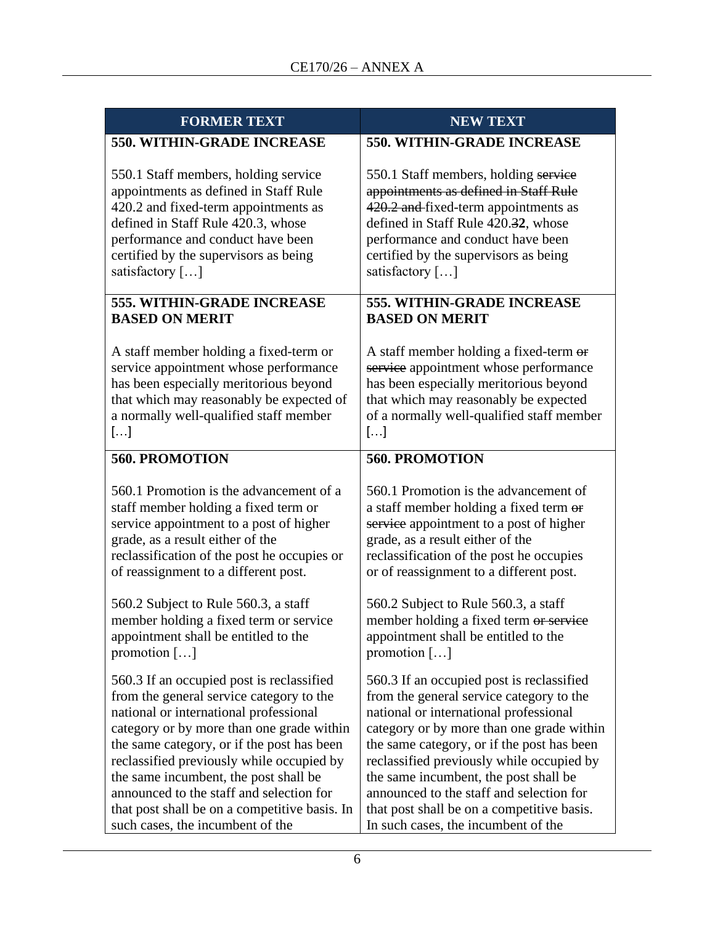| <b>FORMER TEXT</b>                            | <b>NEW TEXT</b>                            |
|-----------------------------------------------|--------------------------------------------|
| <b>550. WITHIN-GRADE INCREASE</b>             | <b>550. WITHIN-GRADE INCREASE</b>          |
| 550.1 Staff members, holding service          | 550.1 Staff members, holding service       |
| appointments as defined in Staff Rule         | appointments as defined in Staff Rule      |
| 420.2 and fixed-term appointments as          | 420.2 and fixed-term appointments as       |
| defined in Staff Rule 420.3, whose            | defined in Staff Rule 420.32, whose        |
| performance and conduct have been             | performance and conduct have been          |
| certified by the supervisors as being         | certified by the supervisors as being      |
| satisfactory []                               | satisfactory []                            |
| <b>555. WITHIN-GRADE INCREASE</b>             | <b>555. WITHIN-GRADE INCREASE</b>          |
| <b>BASED ON MERIT</b>                         | <b>BASED ON MERIT</b>                      |
| A staff member holding a fixed-term or        | A staff member holding a fixed-term or     |
| service appointment whose performance         | service appointment whose performance      |
| has been especially meritorious beyond        | has been especially meritorious beyond     |
| that which may reasonably be expected of      | that which may reasonably be expected      |
| a normally well-qualified staff member        | of a normally well-qualified staff member  |
| $\left[\ldots\right]$                         | $\left[\ldots\right]$                      |
| <b>560. PROMOTION</b>                         | <b>560. PROMOTION</b>                      |
| 560.1 Promotion is the advancement of a       | 560.1 Promotion is the advancement of      |
| staff member holding a fixed term or          | a staff member holding a fixed term or     |
| service appointment to a post of higher       | service appointment to a post of higher    |
| grade, as a result either of the              | grade, as a result either of the           |
| reclassification of the post he occupies or   | reclassification of the post he occupies   |
| of reassignment to a different post.          | or of reassignment to a different post.    |
| 560.2 Subject to Rule 560.3, a staff          | 560.2 Subject to Rule 560.3, a staff       |
| member holding a fixed term or service        | member holding a fixed term or service     |
| appointment shall be entitled to the          | appointment shall be entitled to the       |
| promotion $[\dots]$                           | promotion $[\dots]$                        |
| 560.3 If an occupied post is reclassified     | 560.3 If an occupied post is reclassified  |
| from the general service category to the      | from the general service category to the   |
| national or international professional        | national or international professional     |
| category or by more than one grade within     | category or by more than one grade within  |
| the same category, or if the post has been    | the same category, or if the post has been |
| reclassified previously while occupied by     | reclassified previously while occupied by  |
| the same incumbent, the post shall be         | the same incumbent, the post shall be      |
| announced to the staff and selection for      | announced to the staff and selection for   |
| that post shall be on a competitive basis. In | that post shall be on a competitive basis. |
| such cases, the incumbent of the              | In such cases, the incumbent of the        |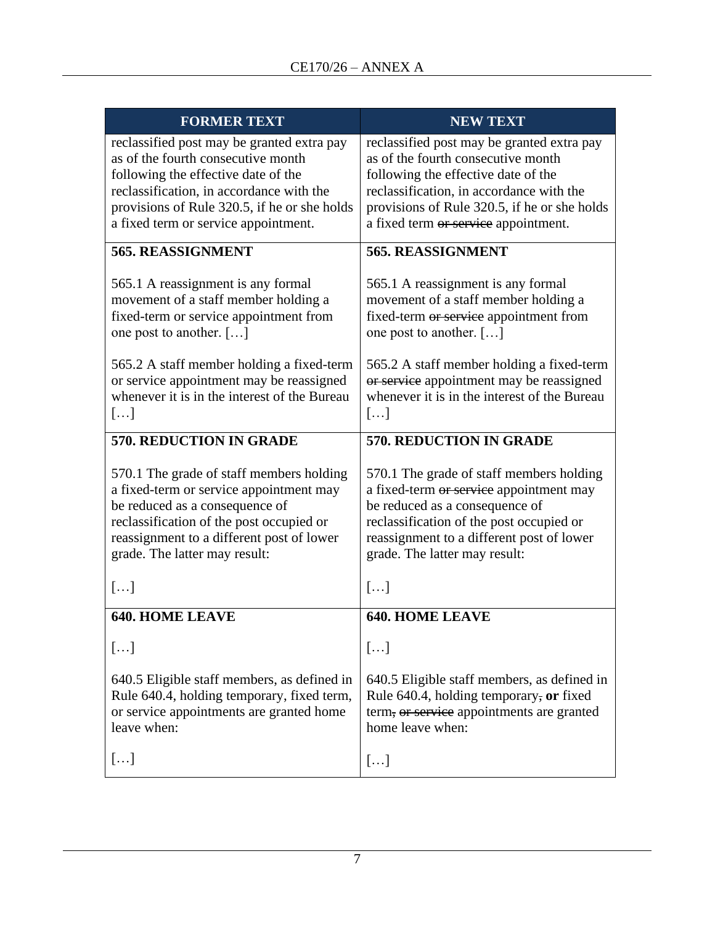| <b>FORMER TEXT</b>                                                                                                                                                                                                                                          | <b>NEW TEXT</b>                                                                                                                                                                                                                                             |
|-------------------------------------------------------------------------------------------------------------------------------------------------------------------------------------------------------------------------------------------------------------|-------------------------------------------------------------------------------------------------------------------------------------------------------------------------------------------------------------------------------------------------------------|
| reclassified post may be granted extra pay<br>as of the fourth consecutive month<br>following the effective date of the<br>reclassification, in accordance with the<br>provisions of Rule 320.5, if he or she holds<br>a fixed term or service appointment. | reclassified post may be granted extra pay<br>as of the fourth consecutive month<br>following the effective date of the<br>reclassification, in accordance with the<br>provisions of Rule 320.5, if he or she holds<br>a fixed term or service appointment. |
| 565. REASSIGNMENT                                                                                                                                                                                                                                           | 565. REASSIGNMENT                                                                                                                                                                                                                                           |
| 565.1 A reassignment is any formal<br>movement of a staff member holding a<br>fixed-term or service appointment from<br>one post to another. []                                                                                                             | 565.1 A reassignment is any formal<br>movement of a staff member holding a<br>fixed-term or service appointment from<br>one post to another. []                                                                                                             |
| 565.2 A staff member holding a fixed-term<br>or service appointment may be reassigned<br>whenever it is in the interest of the Bureau<br>[]                                                                                                                 | 565.2 A staff member holding a fixed-term<br>or service appointment may be reassigned<br>whenever it is in the interest of the Bureau<br>$\left[\ldots\right]$                                                                                              |
| 570. REDUCTION IN GRADE                                                                                                                                                                                                                                     | 570. REDUCTION IN GRADE                                                                                                                                                                                                                                     |
| 570.1 The grade of staff members holding<br>a fixed-term or service appointment may<br>be reduced as a consequence of<br>reclassification of the post occupied or<br>reassignment to a different post of lower<br>grade. The latter may result:             | 570.1 The grade of staff members holding<br>a fixed-term or service appointment may<br>be reduced as a consequence of<br>reclassification of the post occupied or<br>reassignment to a different post of lower<br>grade. The latter may result:             |
| []                                                                                                                                                                                                                                                          | []                                                                                                                                                                                                                                                          |
| <b>640. HOME LEAVE</b>                                                                                                                                                                                                                                      | <b>640. HOME LEAVE</b>                                                                                                                                                                                                                                      |
| []                                                                                                                                                                                                                                                          | []                                                                                                                                                                                                                                                          |
| 640.5 Eligible staff members, as defined in<br>Rule 640.4, holding temporary, fixed term,<br>or service appointments are granted home<br>leave when:                                                                                                        | 640.5 Eligible staff members, as defined in<br>Rule 640.4, holding temporary, or fixed<br>term, or service appointments are granted<br>home leave when:                                                                                                     |
| []                                                                                                                                                                                                                                                          | []                                                                                                                                                                                                                                                          |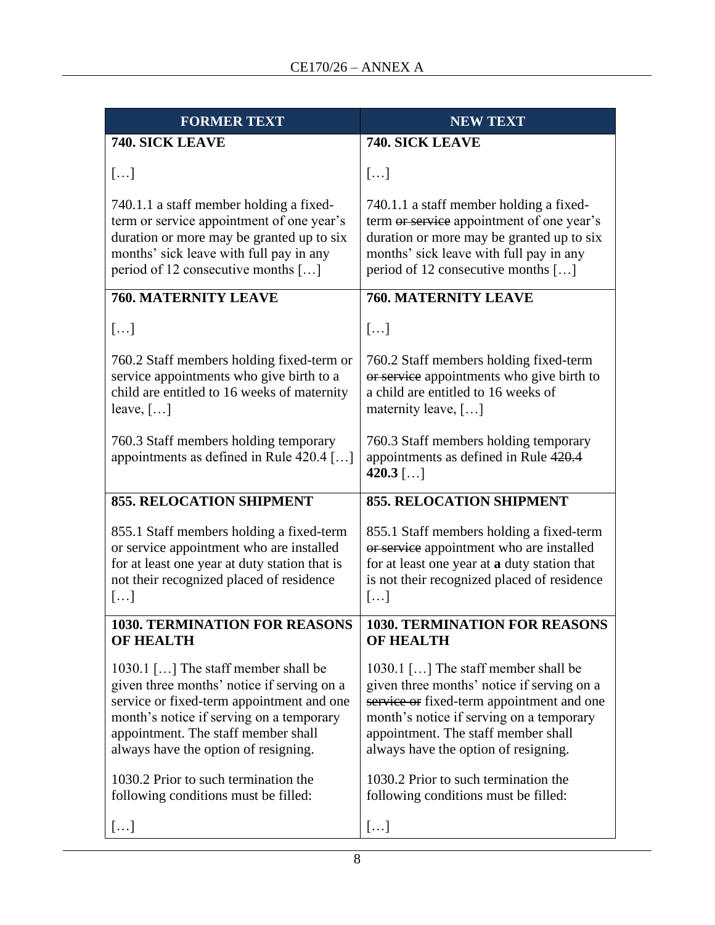| <b>FORMER TEXT</b>                                                                                                                                                                                                                                                            | <b>NEW TEXT</b>                                                                                                                                                                                                                                                               |
|-------------------------------------------------------------------------------------------------------------------------------------------------------------------------------------------------------------------------------------------------------------------------------|-------------------------------------------------------------------------------------------------------------------------------------------------------------------------------------------------------------------------------------------------------------------------------|
| 740. SICK LEAVE                                                                                                                                                                                                                                                               | 740. SICK LEAVE                                                                                                                                                                                                                                                               |
| []                                                                                                                                                                                                                                                                            | []                                                                                                                                                                                                                                                                            |
| 740.1.1 a staff member holding a fixed-<br>term or service appointment of one year's<br>duration or more may be granted up to six<br>months' sick leave with full pay in any<br>period of 12 consecutive months []                                                            | 740.1.1 a staff member holding a fixed-<br>term or service appointment of one year's<br>duration or more may be granted up to six<br>months' sick leave with full pay in any<br>period of 12 consecutive months []                                                            |
| <b>760. MATERNITY LEAVE</b>                                                                                                                                                                                                                                                   | <b>760. MATERNITY LEAVE</b>                                                                                                                                                                                                                                                   |
| []                                                                                                                                                                                                                                                                            | []                                                                                                                                                                                                                                                                            |
| 760.2 Staff members holding fixed-term or<br>service appointments who give birth to a<br>child are entitled to 16 weeks of maternity<br>leave, $[\dots]$                                                                                                                      | 760.2 Staff members holding fixed-term<br>or service appointments who give birth to<br>a child are entitled to 16 weeks of<br>maternity leave, $[\dots]$                                                                                                                      |
| 760.3 Staff members holding temporary<br>appointments as defined in Rule 420.4 []                                                                                                                                                                                             | 760.3 Staff members holding temporary<br>appointments as defined in Rule 420.4<br>$420.3$ []                                                                                                                                                                                  |
| <b>855. RELOCATION SHIPMENT</b>                                                                                                                                                                                                                                               | <b>855. RELOCATION SHIPMENT</b>                                                                                                                                                                                                                                               |
| 855.1 Staff members holding a fixed-term<br>or service appointment who are installed<br>for at least one year at duty station that is<br>not their recognized placed of residence<br>$\left[\ldots\right]$                                                                    | 855.1 Staff members holding a fixed-term<br>or service appointment who are installed<br>for at least one year at a duty station that<br>is not their recognized placed of residence<br>[]                                                                                     |
| <b>1030. TERMINATION FOR REASONS</b>                                                                                                                                                                                                                                          | <b>1030. TERMINATION FOR REASONS</b>                                                                                                                                                                                                                                          |
| <b>OF HEALTH</b><br>1030.1 [] The staff member shall be<br>given three months' notice if serving on a<br>service or fixed-term appointment and one<br>month's notice if serving on a temporary<br>appointment. The staff member shall<br>always have the option of resigning. | <b>OF HEALTH</b><br>1030.1 [] The staff member shall be<br>given three months' notice if serving on a<br>service or fixed-term appointment and one<br>month's notice if serving on a temporary<br>appointment. The staff member shall<br>always have the option of resigning. |
| 1030.2 Prior to such termination the<br>following conditions must be filled:                                                                                                                                                                                                  | 1030.2 Prior to such termination the<br>following conditions must be filled:                                                                                                                                                                                                  |
| []                                                                                                                                                                                                                                                                            | []                                                                                                                                                                                                                                                                            |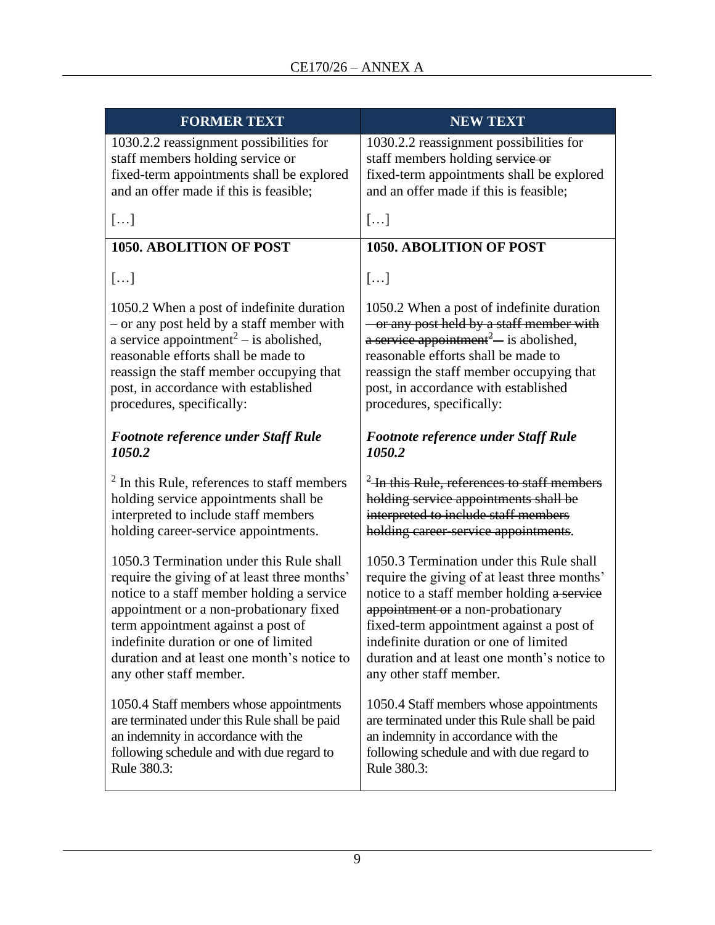| <b>FORMER TEXT</b>                                                                                                                                                                                                                                                                                                                         | <b>NEW TEXT</b>                                                                                                                                                                                                                                                                                                                            |  |  |  |  |
|--------------------------------------------------------------------------------------------------------------------------------------------------------------------------------------------------------------------------------------------------------------------------------------------------------------------------------------------|--------------------------------------------------------------------------------------------------------------------------------------------------------------------------------------------------------------------------------------------------------------------------------------------------------------------------------------------|--|--|--|--|
| 1030.2.2 reassignment possibilities for<br>staff members holding service or<br>fixed-term appointments shall be explored<br>and an offer made if this is feasible;                                                                                                                                                                         | 1030.2.2 reassignment possibilities for<br>staff members holding service or<br>fixed-term appointments shall be explored<br>and an offer made if this is feasible;                                                                                                                                                                         |  |  |  |  |
| []                                                                                                                                                                                                                                                                                                                                         | []                                                                                                                                                                                                                                                                                                                                         |  |  |  |  |
| <b>1050. ABOLITION OF POST</b>                                                                                                                                                                                                                                                                                                             | <b>1050. ABOLITION OF POST</b>                                                                                                                                                                                                                                                                                                             |  |  |  |  |
| []                                                                                                                                                                                                                                                                                                                                         | []                                                                                                                                                                                                                                                                                                                                         |  |  |  |  |
| 1050.2 When a post of indefinite duration<br>- or any post held by a staff member with<br>a service appointment <sup>2</sup> – is abolished,<br>reasonable efforts shall be made to<br>reassign the staff member occupying that<br>post, in accordance with established<br>procedures, specifically:                                       | 1050.2 When a post of indefinite duration<br>- or any post held by a staff member with<br>a service appointment <sup>2</sup> — is abolished,<br>reasonable efforts shall be made to<br>reassign the staff member occupying that<br>post, in accordance with established<br>procedures, specifically:                                       |  |  |  |  |
| <b>Footnote reference under Staff Rule</b><br>1050.2                                                                                                                                                                                                                                                                                       | <b>Footnote reference under Staff Rule</b><br>1050.2<br><sup>2</sup> -In this Rule, references to staff members                                                                                                                                                                                                                            |  |  |  |  |
| $2$ In this Rule, references to staff members<br>holding service appointments shall be<br>interpreted to include staff members<br>holding career-service appointments.                                                                                                                                                                     | holding service appointments shall be<br>interpreted to include staff members<br>holding career-service appointments.                                                                                                                                                                                                                      |  |  |  |  |
| 1050.3 Termination under this Rule shall<br>require the giving of at least three months'<br>notice to a staff member holding a service<br>appointment or a non-probationary fixed<br>term appointment against a post of<br>indefinite duration or one of limited<br>duration and at least one month's notice to<br>any other staff member. | 1050.3 Termination under this Rule shall<br>require the giving of at least three months'<br>notice to a staff member holding a service<br>appointment or a non-probationary<br>fixed-term appointment against a post of<br>indefinite duration or one of limited<br>duration and at least one month's notice to<br>any other staff member. |  |  |  |  |
| 1050.4 Staff members whose appointments<br>are terminated under this Rule shall be paid<br>an indemnity in accordance with the<br>following schedule and with due regard to<br>Rule 380.3:                                                                                                                                                 | 1050.4 Staff members whose appointments<br>are terminated under this Rule shall be paid<br>an indemnity in accordance with the<br>following schedule and with due regard to<br>Rule 380.3:                                                                                                                                                 |  |  |  |  |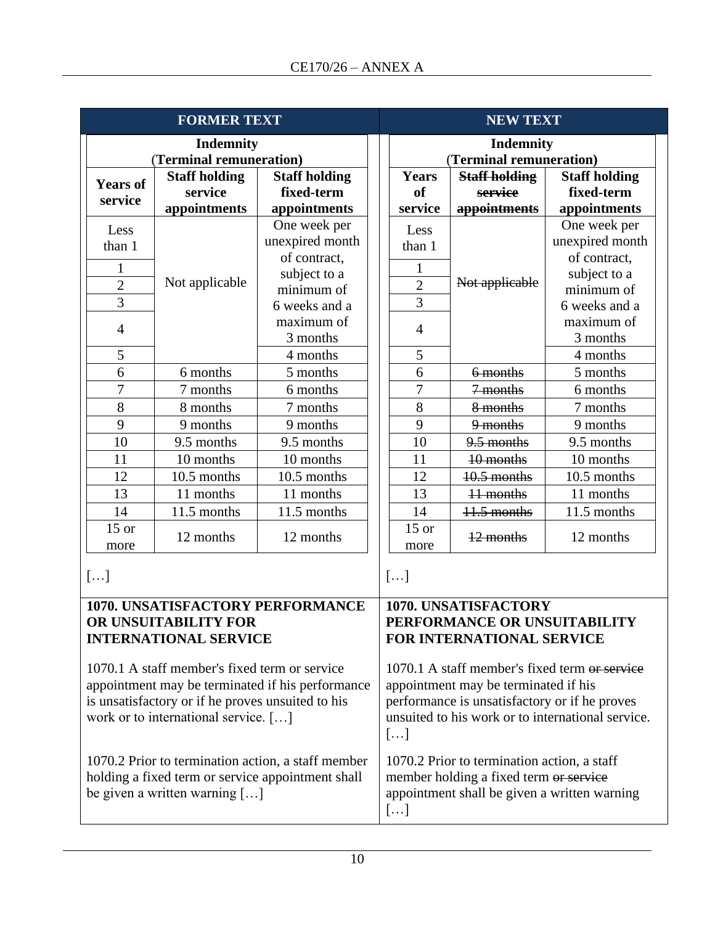|                                                                                                   | <b>FORMER TEXT</b>                   |                                                         | <b>NEW TEXT</b>                               |                                                           |                                             |                      |  |  |
|---------------------------------------------------------------------------------------------------|--------------------------------------|---------------------------------------------------------|-----------------------------------------------|-----------------------------------------------------------|---------------------------------------------|----------------------|--|--|
|                                                                                                   | <b>Indemnity</b>                     |                                                         |                                               |                                                           | <b>Indemnity</b>                            |                      |  |  |
|                                                                                                   | (Terminal remuneration)              |                                                         |                                               |                                                           | (Terminal remuneration)                     |                      |  |  |
| <b>Years of</b>                                                                                   | <b>Staff holding</b>                 | <b>Staff holding</b>                                    |                                               | <b>Years</b>                                              | <b>Staff holding</b>                        | <b>Staff holding</b> |  |  |
| service                                                                                           | service                              | fixed-term                                              |                                               | <b>of</b>                                                 | service                                     | fixed-term           |  |  |
|                                                                                                   | appointments                         | appointments                                            |                                               | service                                                   | appointments                                | appointments         |  |  |
| Less                                                                                              |                                      | One week per                                            |                                               | Less                                                      |                                             | One week per         |  |  |
| than 1                                                                                            |                                      | unexpired month                                         |                                               | than 1                                                    |                                             | unexpired month      |  |  |
|                                                                                                   |                                      | of contract,                                            |                                               | 1                                                         |                                             | of contract,         |  |  |
| 1                                                                                                 | Not applicable                       | subject to a                                            |                                               | $\overline{2}$                                            | subject to a                                |                      |  |  |
| $\overline{2}$                                                                                    |                                      | minimum of                                              |                                               |                                                           | Not applicable                              | minimum of           |  |  |
| $\overline{3}$                                                                                    |                                      | 6 weeks and a                                           |                                               | $\overline{3}$                                            |                                             | 6 weeks and a        |  |  |
| $\overline{4}$                                                                                    |                                      | maximum of                                              |                                               | $\overline{4}$                                            |                                             | maximum of           |  |  |
|                                                                                                   |                                      | 3 months                                                |                                               |                                                           |                                             | 3 months             |  |  |
| 5                                                                                                 |                                      | 4 months                                                |                                               | 5                                                         |                                             | 4 months             |  |  |
| 6                                                                                                 | 6 months                             | 5 months                                                |                                               | 6                                                         | 6 months                                    | 5 months             |  |  |
| $\overline{7}$                                                                                    | 7 months                             | 6 months                                                |                                               | $\overline{7}$                                            | 7 months                                    | 6 months             |  |  |
| 8                                                                                                 | 8 months                             | 7 months                                                |                                               | 8                                                         | 8 months                                    | 7 months             |  |  |
| 9                                                                                                 | 9 months                             | 9 months                                                |                                               | 9                                                         | 9 months                                    | 9 months             |  |  |
| 10                                                                                                | 9.5 months                           | 9.5 months                                              |                                               | 10                                                        | 9.5 months                                  | 9.5 months           |  |  |
| 11                                                                                                | 10 months                            | 10 months                                               |                                               | 11                                                        | 10 months                                   | 10 months            |  |  |
| 12                                                                                                | 10.5 months                          | 10.5 months                                             |                                               | 12                                                        | 10.5 months                                 | 10.5 months          |  |  |
| 13                                                                                                | 11 months                            | 11 months                                               |                                               | 13                                                        | 11 months                                   | 11 months            |  |  |
| 14                                                                                                | 11.5 months                          | 11.5 months                                             |                                               | 14                                                        | 11.5 months                                 | 11.5 months          |  |  |
| $15$ or<br>more                                                                                   | 12 months                            | 12 months                                               |                                               | $15$ or<br>more                                           | 12 months                                   | 12 months            |  |  |
|                                                                                                   |                                      |                                                         |                                               |                                                           |                                             |                      |  |  |
| []                                                                                                |                                      |                                                         |                                               | []                                                        |                                             |                      |  |  |
|                                                                                                   |                                      |                                                         |                                               |                                                           |                                             |                      |  |  |
|                                                                                                   |                                      | 1070. UNSATISFACTORY PERFORMANCE                        |                                               |                                                           | 1070. UNSATISFACTORY                        |                      |  |  |
|                                                                                                   | OR UNSUITABILITY FOR                 |                                                         |                                               | PERFORMANCE OR UNSUITABILITY<br>FOR INTERNATIONAL SERVICE |                                             |                      |  |  |
|                                                                                                   | <b>INTERNATIONAL SERVICE</b>         |                                                         |                                               |                                                           |                                             |                      |  |  |
|                                                                                                   |                                      |                                                         | 1070.1 A staff member's fixed term or service |                                                           |                                             |                      |  |  |
| 1070.1 A staff member's fixed term or service<br>appointment may be terminated if his performance |                                      |                                                         | appointment may be terminated if his          |                                                           |                                             |                      |  |  |
| is unsatisfactory or if he proves unsuited to his                                                 |                                      |                                                         | performance is unsatisfactory or if he proves |                                                           |                                             |                      |  |  |
| work or to international service. []                                                              |                                      |                                                         |                                               |                                                           |                                             |                      |  |  |
|                                                                                                   |                                      | unsuited to his work or to international service.<br>[] |                                               |                                                           |                                             |                      |  |  |
|                                                                                                   |                                      | 1070.2 Prior to termination action, a staff member      |                                               |                                                           | 1070.2 Prior to termination action, a staff |                      |  |  |
|                                                                                                   |                                      |                                                         |                                               |                                                           |                                             |                      |  |  |
|                                                                                                   | be given a written warning $[\dots]$ | holding a fixed term or service appointment shall       |                                               |                                                           | member holding a fixed term or service      |                      |  |  |
|                                                                                                   |                                      |                                                         |                                               | appointment shall be given a written warning              |                                             |                      |  |  |
|                                                                                                   |                                      |                                                         |                                               | []                                                        |                                             |                      |  |  |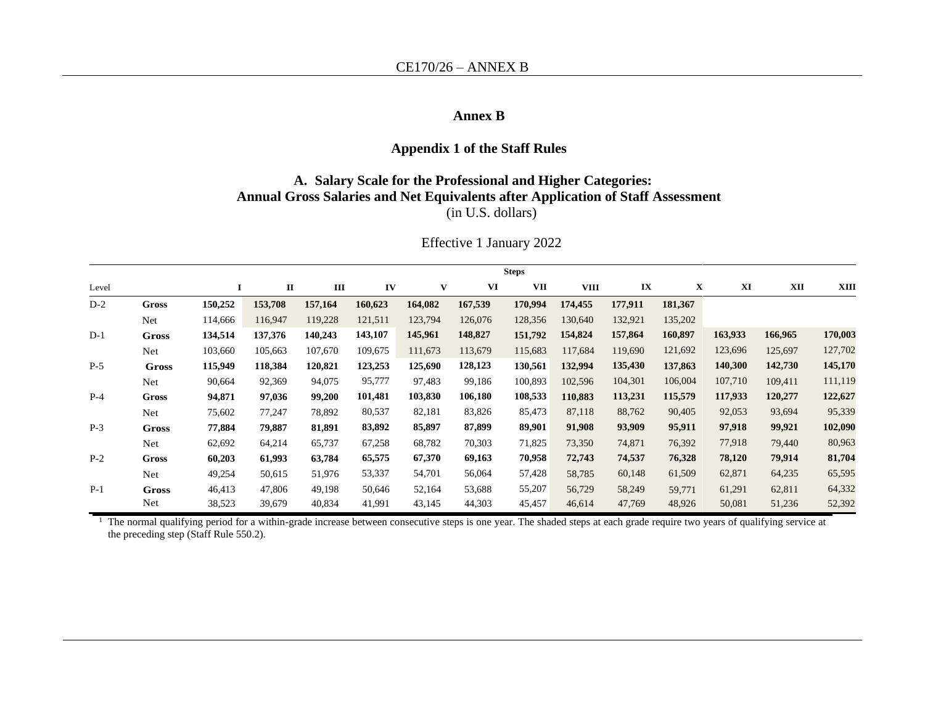#### **Annex B**

#### **Appendix 1 of the Staff Rules**

#### **A. Salary Scale for the Professional and Higher Categories: Annual Gross Salaries and Net Equivalents after Application of Staff Assessment** (in U.S. dollars)

|       |              |         |              |         |         |         |         | <b>Steps</b> |         |         |         |         |         |         |
|-------|--------------|---------|--------------|---------|---------|---------|---------|--------------|---------|---------|---------|---------|---------|---------|
| Level |              | 1       | $\mathbf{I}$ | Ш       | IV      | V       | VI      | <b>VII</b>   | VIII    | IX      | X       | XI      | XII     | XIII    |
| $D-2$ | <b>Gross</b> | 150,252 | 153,708      | 157,164 | 160,623 | 164,082 | 167,539 | 170,994      | 174,455 | 177,911 | 181,367 |         |         |         |
|       | Net          | 114,666 | 116,947      | 119,228 | 121,511 | 123,794 | 126,076 | 128,356      | 130,640 | 132,921 | 135,202 |         |         |         |
| $D-1$ | <b>Gross</b> | 134,514 | 137,376      | 140,243 | 143,107 | 145,961 | 148,827 | 151,792      | 154,824 | 157,864 | 160,897 | 163,933 | 166,965 | 170,003 |
|       | <b>Net</b>   | 103,660 | 105,663      | 107,670 | 109,675 | 111,673 | 113,679 | 115,683      | 117,684 | 119,690 | 121,692 | 123,696 | 125,697 | 127,702 |
| $P-5$ | <b>Gross</b> | 115,949 | 118,384      | 120,821 | 123,253 | 125,690 | 128,123 | 130,561      | 132,994 | 135,430 | 137,863 | 140,300 | 142,730 | 145,170 |
|       | Net          | 90,664  | 92,369       | 94,075  | 95,777  | 97,483  | 99,186  | 100,893      | 102,596 | 104,301 | 106,004 | 107,710 | 109,411 | 111,119 |
| $P-4$ | Gross        | 94,871  | 97,036       | 99,200  | 101,481 | 103,830 | 106,180 | 108,533      | 110,883 | 113,231 | 115,579 | 117,933 | 120,277 | 122,627 |
|       | <b>Net</b>   | 75,602  | 77,247       | 78,892  | 80,537  | 82,181  | 83,826  | 85,473       | 87,118  | 88,762  | 90,405  | 92,053  | 93,694  | 95,339  |
| $P-3$ | <b>Gross</b> | 77,884  | 79,887       | 81,891  | 83,892  | 85,897  | 87,899  | 89,901       | 91,908  | 93,909  | 95,911  | 97,918  | 99,921  | 102,090 |
|       | Net          | 62,692  | 64,214       | 65,737  | 67,258  | 68,782  | 70,303  | 71,825       | 73,350  | 74,871  | 76,392  | 77,918  | 79,440  | 80,963  |
| $P-2$ | <b>Gross</b> | 60,203  | 61,993       | 63,784  | 65,575  | 67,370  | 69,163  | 70,958       | 72,743  | 74,537  | 76,328  | 78,120  | 79,914  | 81,704  |
|       | <b>Net</b>   | 49,254  | 50,615       | 51,976  | 53,337  | 54,701  | 56,064  | 57,428       | 58,785  | 60,148  | 61,509  | 62,871  | 64,235  | 65,595  |
| $P-1$ | <b>Gross</b> | 46,413  | 47,806       | 49,198  | 50,646  | 52,164  | 53,688  | 55,207       | 56,729  | 58,249  | 59,771  | 61,291  | 62,811  | 64,332  |
|       | Net          | 38,523  | 39,679       | 40,834  | 41,991  | 43,145  | 44,303  | 45,457       | 46,614  | 47,769  | 48,926  | 50,081  | 51,236  | 52,392  |

Effective 1 January 2022

<sup>1</sup> The normal qualifying period for a within-grade increase between consecutive steps is one year. The shaded steps at each grade require two years of qualifying service at the preceding step (Staff Rule 550.2).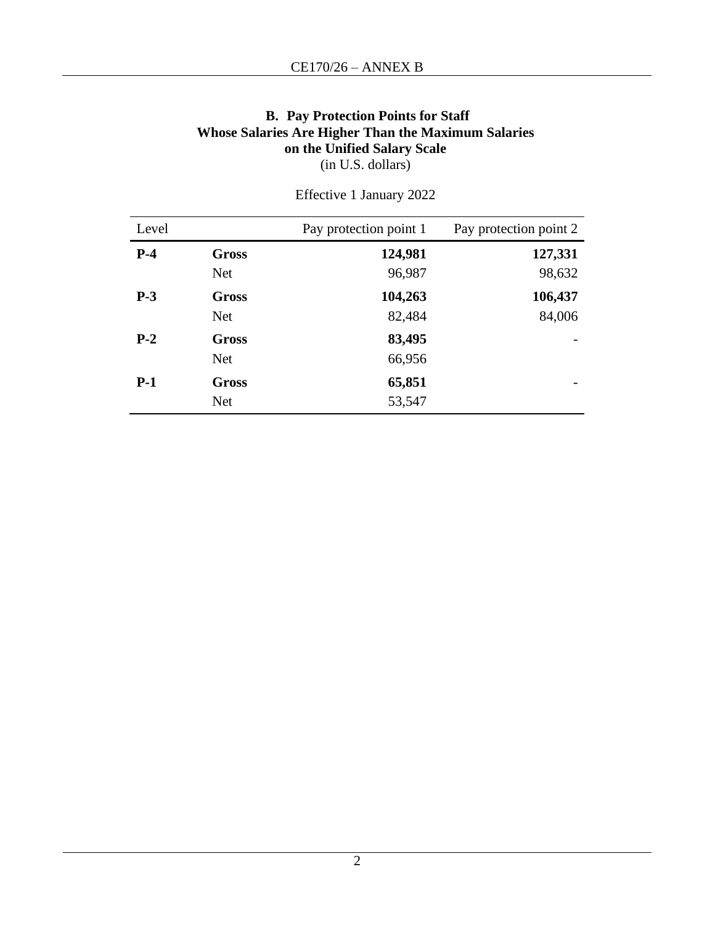#### **B. Pay Protection Points for Staff Whose Salaries Are Higher Than the Maximum Salaries on the Unified Salary Scale** (in U.S. dollars)

| Level |              | Pay protection point 1 | Pay protection point 2 |
|-------|--------------|------------------------|------------------------|
| $P-4$ | <b>Gross</b> | 124,981                | 127,331                |
|       | <b>Net</b>   | 96,987                 | 98,632                 |
| $P-3$ | Gross        | 104,263                | 106,437                |
|       | <b>Net</b>   | 82,484                 | 84,006                 |
| $P-2$ | Gross        | 83,495                 |                        |
|       | <b>Net</b>   | 66,956                 |                        |
| $P-1$ | <b>Gross</b> | 65,851                 |                        |
|       | <b>Net</b>   | 53,547                 |                        |

Effective 1 January 2022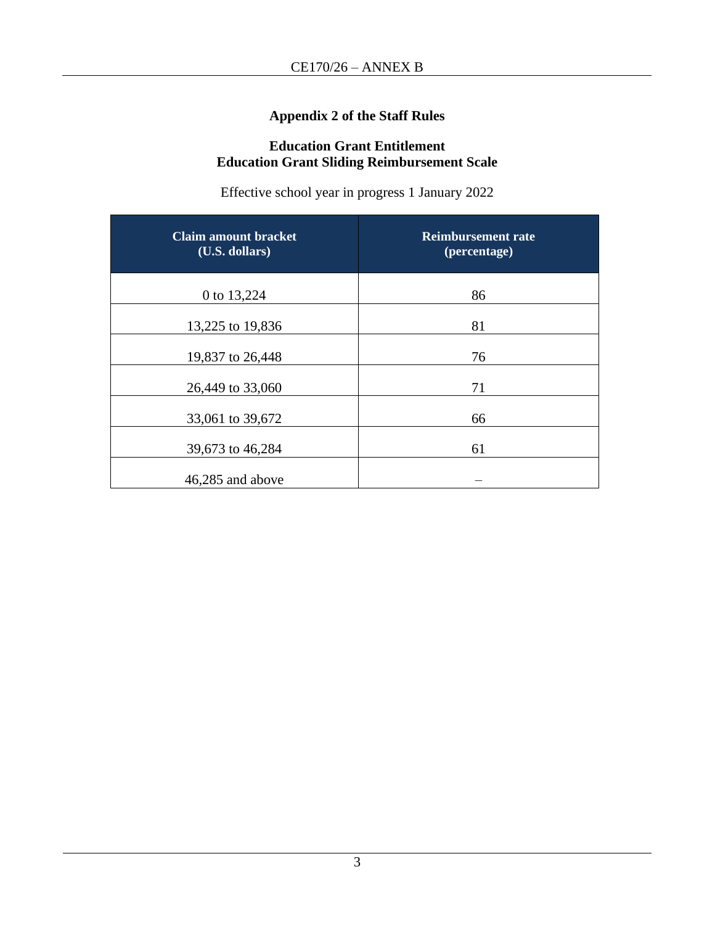## **Appendix 2 of the Staff Rules**

## **Education Grant Entitlement Education Grant Sliding Reimbursement Scale**

Effective school year in progress 1 January 2022

| <b>Claim amount bracket</b><br>(U.S. dollars) | <b>Reimbursement rate</b><br>(percentage) |
|-----------------------------------------------|-------------------------------------------|
| 0 to 13,224                                   | 86                                        |
| 13,225 to 19,836                              | 81                                        |
| 19,837 to 26,448                              | 76                                        |
| 26,449 to 33,060                              | 71                                        |
| 33,061 to 39,672                              | 66                                        |
| 39,673 to 46,284                              | 61                                        |
| 46,285 and above                              |                                           |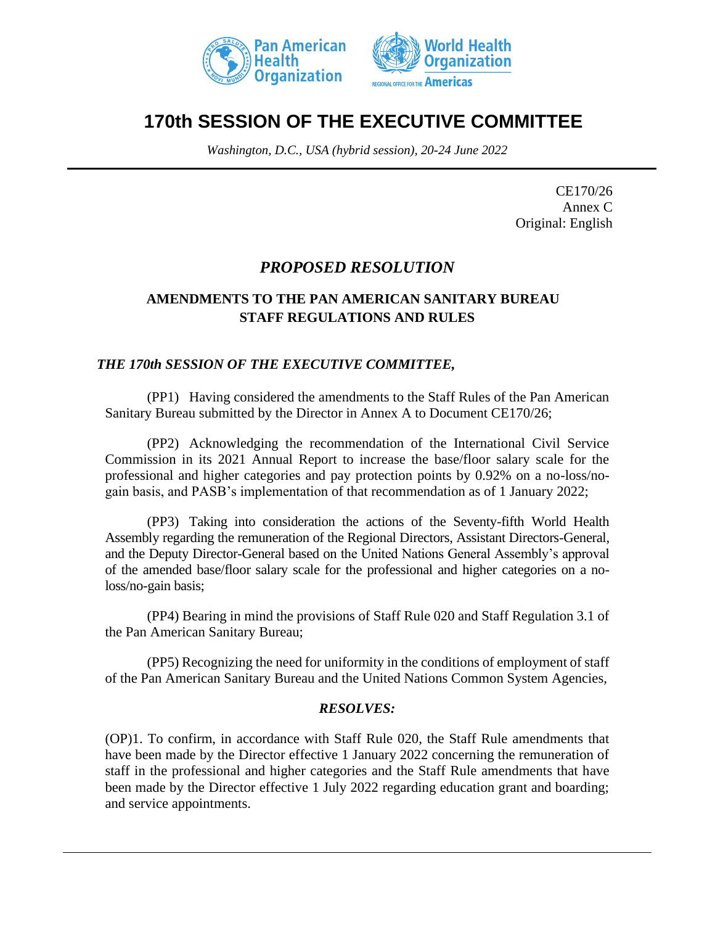



# **170th SESSION OF THE EXECUTIVE COMMITTEE**

*Washington, D.C., USA (hybrid session), 20-24 June 2022*

CE170/26 Annex C Original: English

# *PROPOSED RESOLUTION*

## **AMENDMENTS TO THE PAN AMERICAN SANITARY BUREAU STAFF REGULATIONS AND RULES**

#### *THE 170th SESSION OF THE EXECUTIVE COMMITTEE,*

(PP1) Having considered the amendments to the Staff Rules of the Pan American Sanitary Bureau submitted by the Director in Annex A to Document CE170/26;

(PP2) Acknowledging the recommendation of the International Civil Service Commission in its 2021 Annual Report to increase the base/floor salary scale for the professional and higher categories and pay protection points by 0.92% on a no-loss/nogain basis, and PASB's implementation of that recommendation as of 1 January 2022;

(PP3) Taking into consideration the actions of the Seventy-fifth World Health Assembly regarding the remuneration of the Regional Directors, Assistant Directors-General, and the Deputy Director-General based on the United Nations General Assembly's approval of the amended base/floor salary scale for the professional and higher categories on a noloss/no-gain basis;

(PP4) Bearing in mind the provisions of Staff Rule 020 and Staff Regulation 3.1 of the Pan American Sanitary Bureau;

(PP5) Recognizing the need for uniformity in the conditions of employment of staff of the Pan American Sanitary Bureau and the United Nations Common System Agencies,

#### *RESOLVES:*

(OP)1. To confirm, in accordance with Staff Rule 020, the Staff Rule amendments that have been made by the Director effective 1 January 2022 concerning the remuneration of staff in the professional and higher categories and the Staff Rule amendments that have been made by the Director effective 1 July 2022 regarding education grant and boarding; and service appointments.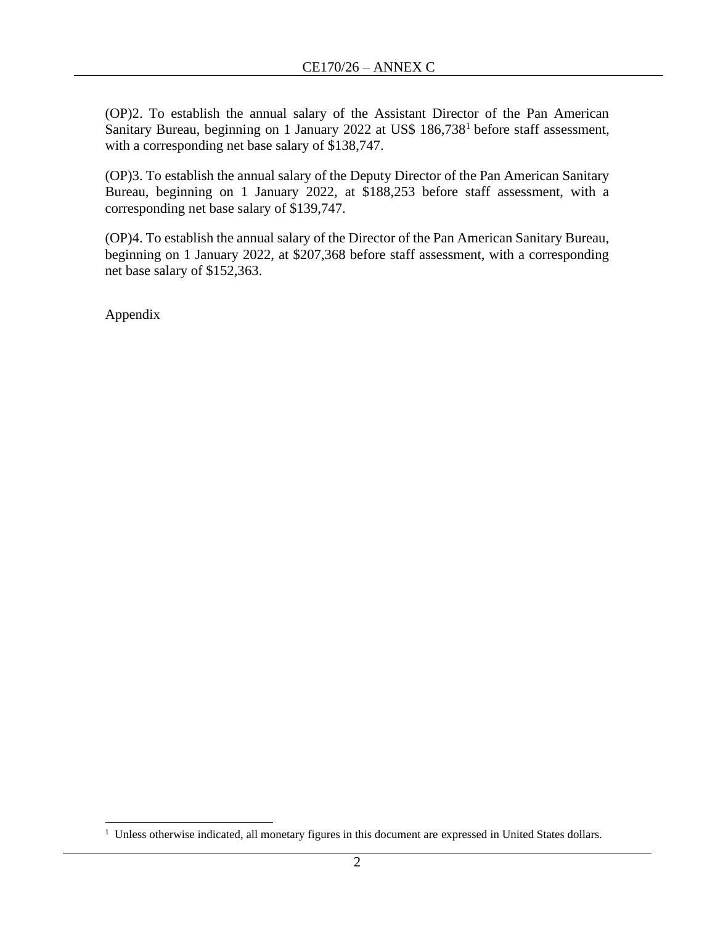(OP)2. To establish the annual salary of the Assistant Director of the Pan American Sanitary Bureau, beginning on 1 January 2022 at US\$ 186,738<sup>1</sup> before staff assessment, with a corresponding net base salary of \$138,747.

(OP)3. To establish the annual salary of the Deputy Director of the Pan American Sanitary Bureau, beginning on 1 January 2022, at \$188,253 before staff assessment, with a corresponding net base salary of \$139,747.

(OP)4. To establish the annual salary of the Director of the Pan American Sanitary Bureau, beginning on 1 January 2022, at \$207,368 before staff assessment, with a corresponding net base salary of \$152,363.

Appendix

<sup>&</sup>lt;sup>1</sup> Unless otherwise indicated, all monetary figures in this document are expressed in United States dollars.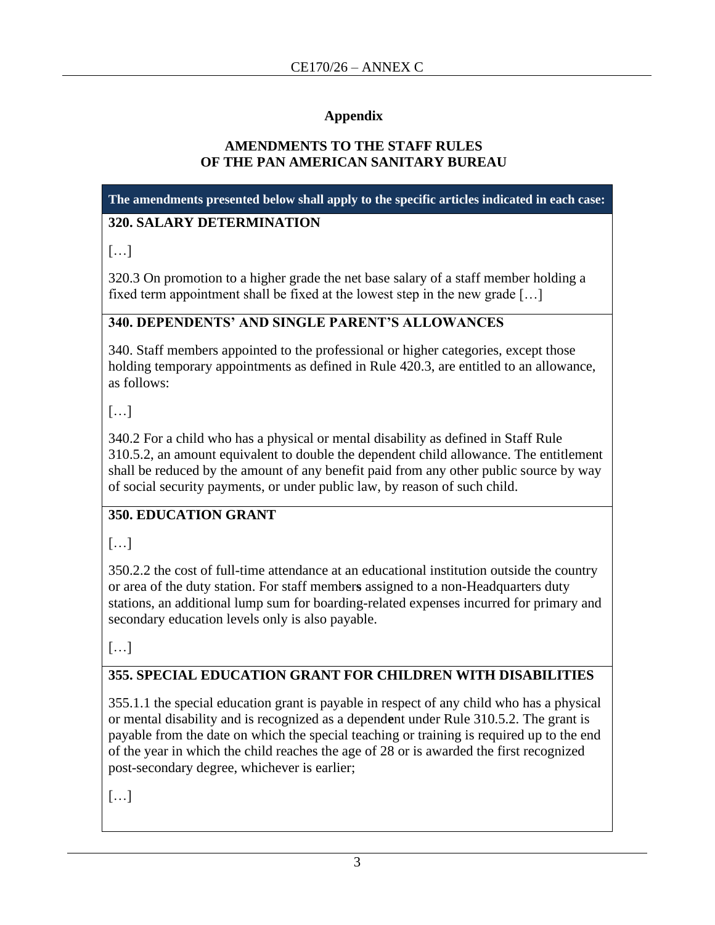## **Appendix**

## **AMENDMENTS TO THE STAFF RULES OF THE PAN AMERICAN SANITARY BUREAU**

**The amendments presented below shall apply to the specific articles indicated in each case:**

## **320. SALARY DETERMINATION**

[…]

320.3 On promotion to a higher grade the net base salary of a staff member holding a fixed term appointment shall be fixed at the lowest step in the new grade […]

## **340. DEPENDENTS' AND SINGLE PARENT'S ALLOWANCES**

340. Staff members appointed to the professional or higher categories, except those holding temporary appointments as defined in Rule 420.3, are entitled to an allowance, as follows:

[…]

340.2 For a child who has a physical or mental disability as defined in Staff Rule 310.5.2, an amount equivalent to double the dependent child allowance. The entitlement shall be reduced by the amount of any benefit paid from any other public source by way of social security payments, or under public law, by reason of such child.

# **350. EDUCATION GRANT**

[…]

350.2.2 the cost of full-time attendance at an educational institution outside the country or area of the duty station. For staff member**s** assigned to a non-Headquarters duty stations, an additional lump sum for boarding-related expenses incurred for primary and secondary education levels only is also payable.

[…]

# **355. SPECIAL EDUCATION GRANT FOR CHILDREN WITH DISABILITIES**

355.1.1 the special education grant is payable in respect of any child who has a physical or mental disability and is recognized as a depend**e**nt under Rule 310.5.2. The grant is payable from the date on which the special teaching or training is required up to the end of the year in which the child reaches the age of 28 or is awarded the first recognized post-secondary degree, whichever is earlier;

[…]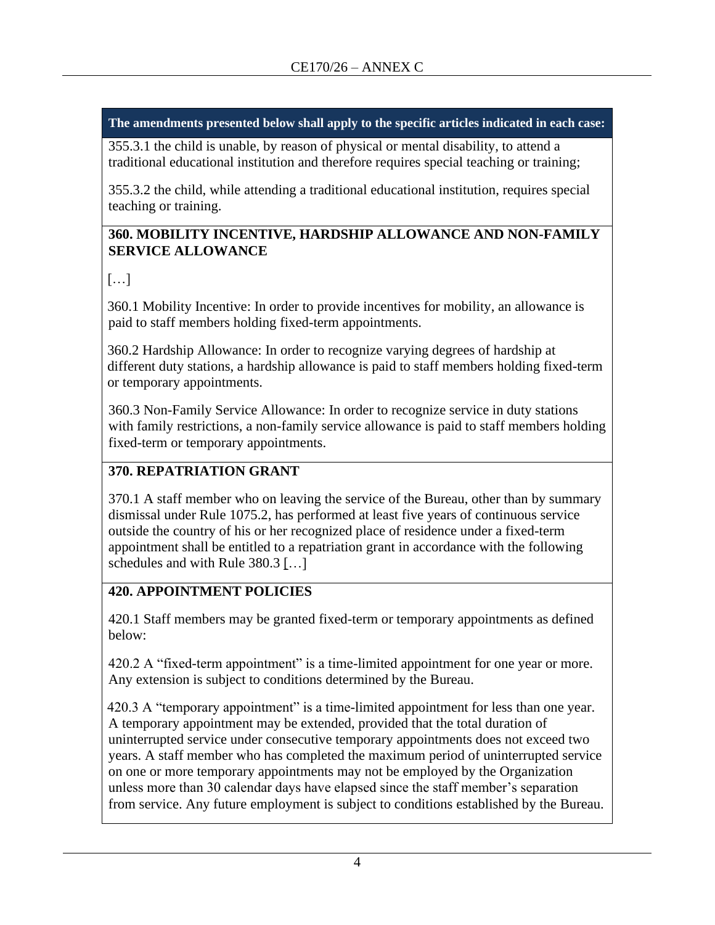355.3.1 the child is unable, by reason of physical or mental disability, to attend a traditional educational institution and therefore requires special teaching or training;

355.3.2 the child, while attending a traditional educational institution, requires special teaching or training.

## **360. MOBILITY INCENTIVE, HARDSHIP ALLOWANCE AND NON-FAMILY SERVICE ALLOWANCE**

## […]

360.1 Mobility Incentive: In order to provide incentives for mobility, an allowance is paid to staff members holding fixed-term appointments.

360.2 Hardship Allowance: In order to recognize varying degrees of hardship at different duty stations, a hardship allowance is paid to staff members holding fixed-term or temporary appointments.

360.3 Non-Family Service Allowance: In order to recognize service in duty stations with family restrictions, a non-family service allowance is paid to staff members holding fixed-term or temporary appointments.

# **370. REPATRIATION GRANT**

370.1 A staff member who on leaving the service of the Bureau, other than by summary dismissal under Rule 1075.2, has performed at least five years of continuous service outside the country of his or her recognized place of residence under a fixed-term appointment shall be entitled to a repatriation grant in accordance with the following schedules and with Rule 380.3 […]

## **420. APPOINTMENT POLICIES**

420.1 Staff members may be granted fixed-term or temporary appointments as defined below:

420.2 A "fixed-term appointment" is a time-limited appointment for one year or more. Any extension is subject to conditions determined by the Bureau.

420.3 A "temporary appointment" is a time-limited appointment for less than one year. A temporary appointment may be extended, provided that the total duration of uninterrupted service under consecutive temporary appointments does not exceed two years. A staff member who has completed the maximum period of uninterrupted service on one or more temporary appointments may not be employed by the Organization unless more than 30 calendar days have elapsed since the staff member's separation from service. Any future employment is subject to conditions established by the Bureau.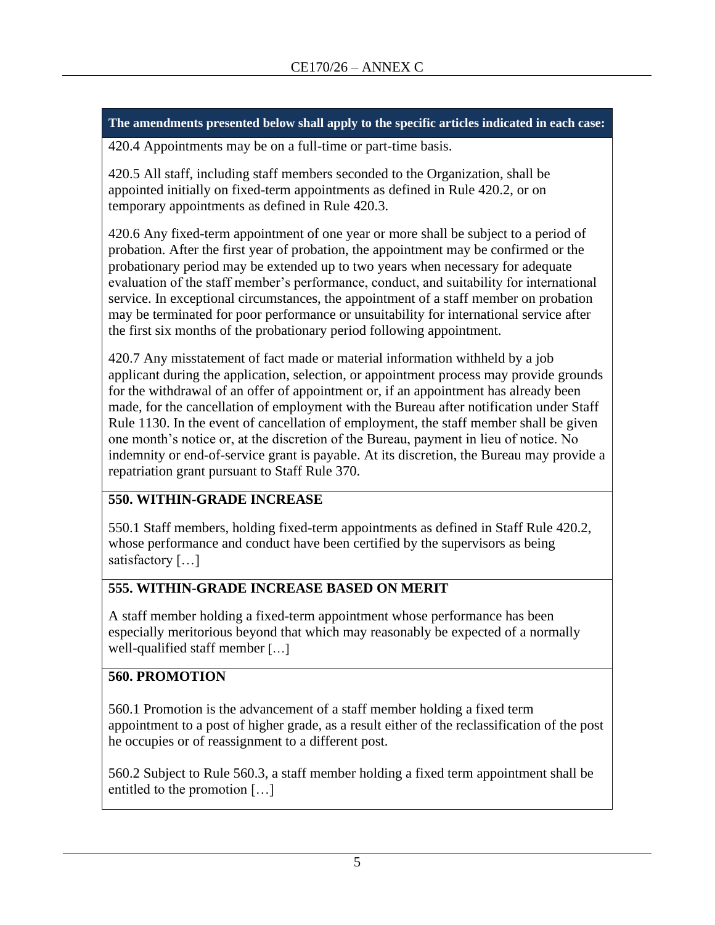420.4 Appointments may be on a full-time or part-time basis.

420.5 All staff, including staff members seconded to the Organization, shall be appointed initially on fixed-term appointments as defined in Rule 420.2, or on temporary appointments as defined in Rule 420.3.

420.6 Any fixed-term appointment of one year or more shall be subject to a period of probation. After the first year of probation, the appointment may be confirmed or the probationary period may be extended up to two years when necessary for adequate evaluation of the staff member's performance, conduct, and suitability for international service. In exceptional circumstances, the appointment of a staff member on probation may be terminated for poor performance or unsuitability for international service after the first six months of the probationary period following appointment.

420.7 Any misstatement of fact made or material information withheld by a job applicant during the application, selection, or appointment process may provide grounds for the withdrawal of an offer of appointment or, if an appointment has already been made, for the cancellation of employment with the Bureau after notification under Staff Rule 1130. In the event of cancellation of employment, the staff member shall be given one month's notice or, at the discretion of the Bureau, payment in lieu of notice. No indemnity or end-of-service grant is payable. At its discretion, the Bureau may provide a repatriation grant pursuant to Staff Rule 370.

## **550. WITHIN-GRADE INCREASE**

550.1 Staff members, holding fixed-term appointments as defined in Staff Rule 420.2, whose performance and conduct have been certified by the supervisors as being satisfactory [...]

## **555. WITHIN-GRADE INCREASE BASED ON MERIT**

A staff member holding a fixed-term appointment whose performance has been especially meritorious beyond that which may reasonably be expected of a normally well-qualified staff member […]

# **560. PROMOTION**

560.1 Promotion is the advancement of a staff member holding a fixed term appointment to a post of higher grade, as a result either of the reclassification of the post he occupies or of reassignment to a different post.

560.2 Subject to Rule 560.3, a staff member holding a fixed term appointment shall be entitled to the promotion […]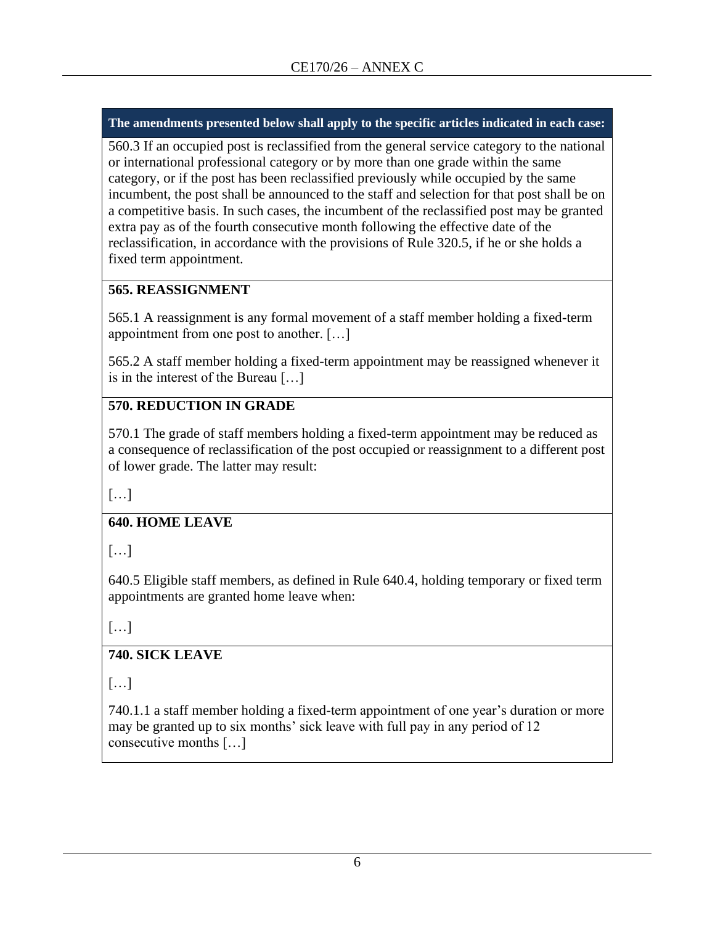560.3 If an occupied post is reclassified from the general service category to the national or international professional category or by more than one grade within the same category, or if the post has been reclassified previously while occupied by the same incumbent, the post shall be announced to the staff and selection for that post shall be on a competitive basis. In such cases, the incumbent of the reclassified post may be granted extra pay as of the fourth consecutive month following the effective date of the reclassification, in accordance with the provisions of Rule 320.5, if he or she holds a fixed term appointment.

## **565. REASSIGNMENT**

565.1 A reassignment is any formal movement of a staff member holding a fixed-term appointment from one post to another. […]

565.2 A staff member holding a fixed-term appointment may be reassigned whenever it is in the interest of the Bureau […]

# **570. REDUCTION IN GRADE**

570.1 The grade of staff members holding a fixed-term appointment may be reduced as a consequence of reclassification of the post occupied or reassignment to a different post of lower grade. The latter may result:

[…]

# **640. HOME LEAVE**

[…]

640.5 Eligible staff members, as defined in Rule 640.4, holding temporary or fixed term appointments are granted home leave when:

[…]

# **740. SICK LEAVE**

[…]

740.1.1 a staff member holding a fixed-term appointment of one year's duration or more may be granted up to six months' sick leave with full pay in any period of 12 consecutive months […]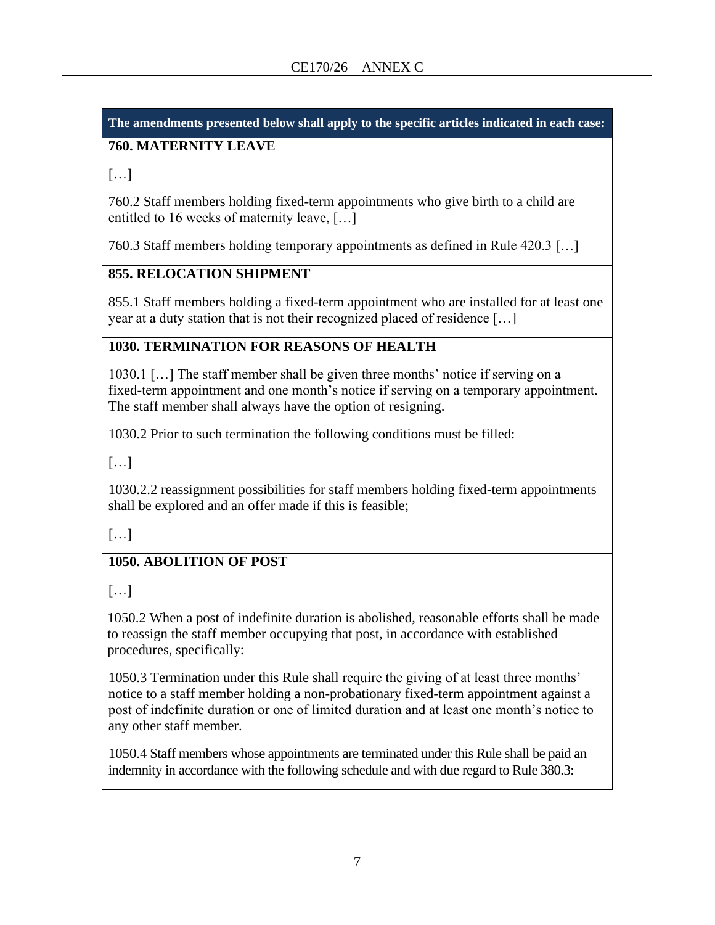# **760. MATERNITY LEAVE**

[…]

760.2 Staff members holding fixed-term appointments who give birth to a child are entitled to 16 weeks of maternity leave, […]

760.3 Staff members holding temporary appointments as defined in Rule 420.3 […]

# **855. RELOCATION SHIPMENT**

855.1 Staff members holding a fixed-term appointment who are installed for at least one year at a duty station that is not their recognized placed of residence […]

# **1030. TERMINATION FOR REASONS OF HEALTH**

1030.1 […] The staff member shall be given three months' notice if serving on a fixed-term appointment and one month's notice if serving on a temporary appointment. The staff member shall always have the option of resigning.

1030.2 Prior to such termination the following conditions must be filled:

[…]

1030.2.2 reassignment possibilities for staff members holding fixed-term appointments shall be explored and an offer made if this is feasible;

[…]

# **1050. ABOLITION OF POST**

[…]

1050.2 When a post of indefinite duration is abolished, reasonable efforts shall be made to reassign the staff member occupying that post, in accordance with established procedures, specifically:

1050.3 Termination under this Rule shall require the giving of at least three months' notice to a staff member holding a non-probationary fixed-term appointment against a post of indefinite duration or one of limited duration and at least one month's notice to any other staff member.

1050.4 Staff members whose appointments are terminated under this Rule shall be paid an indemnity in accordance with the following schedule and with due regard to Rule 380.3: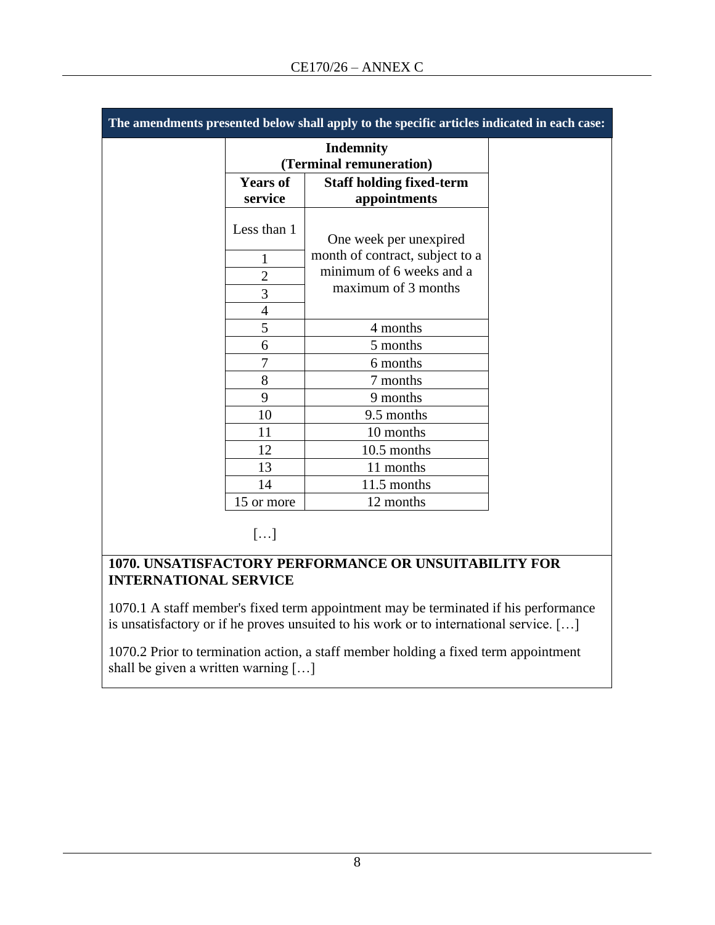| The amendments presented below shall apply to the specific articles indicated in each case: |                                             |                                                 |  |
|---------------------------------------------------------------------------------------------|---------------------------------------------|-------------------------------------------------|--|
|                                                                                             | <b>Indemnity</b><br>(Terminal remuneration) |                                                 |  |
|                                                                                             | <b>Years of</b><br>service                  | <b>Staff holding fixed-term</b><br>appointments |  |
|                                                                                             | Less than 1                                 | One week per unexpired                          |  |
|                                                                                             | $\mathbf{1}$                                | month of contract, subject to a                 |  |
|                                                                                             | $\overline{2}$                              | minimum of 6 weeks and a                        |  |
|                                                                                             | 3                                           | maximum of 3 months                             |  |
|                                                                                             | 4                                           |                                                 |  |
|                                                                                             | 5                                           | 4 months                                        |  |
|                                                                                             | 6                                           | 5 months                                        |  |
|                                                                                             | 7                                           | 6 months                                        |  |
|                                                                                             | 8                                           | 7 months                                        |  |
|                                                                                             | 9                                           | 9 months                                        |  |
|                                                                                             | 10                                          | 9.5 months                                      |  |
|                                                                                             | 11                                          | 10 months                                       |  |
|                                                                                             | 12                                          | 10.5 months                                     |  |
|                                                                                             | 13                                          | 11 months                                       |  |
|                                                                                             | 14                                          | 11.5 months                                     |  |
|                                                                                             | 15 or more                                  | 12 months                                       |  |
|                                                                                             |                                             |                                                 |  |

 $[\ldots]$ 

#### **1070. UNSATISFACTORY PERFORMANCE OR UNSUITABILITY FOR INTERNATIONAL SERVICE**

1070.1 A staff member's fixed term appointment may be terminated if his performance is unsatisfactory or if he proves unsuited to his work or to international service. […]

1070.2 Prior to termination action, a staff member holding a fixed term appointment shall be given a written warning […]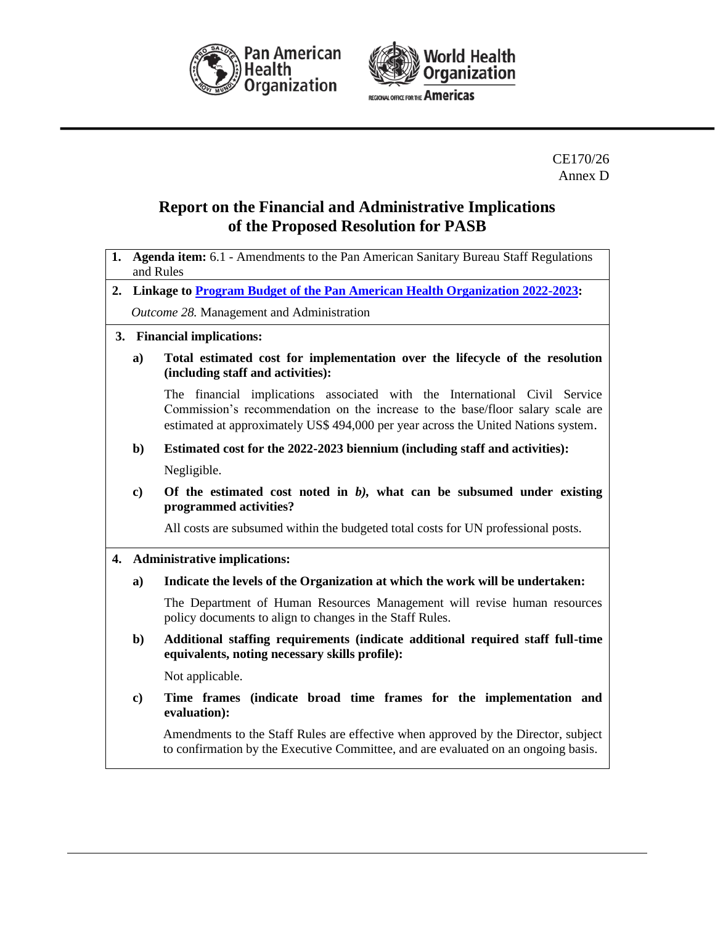



CE170/26 Annex D

# **Report on the Financial and Administrative Implications of the Proposed Resolution for PASB**

- **1. Agenda item:** 6.1 Amendments to the Pan American Sanitary Bureau Staff Regulations and Rules
- **2. Linkage to [Program Budget of the Pan American Health Organization 2022-2023:](https://iris.paho.org/handle/10665.2/55782)** *Outcome 28.* Management and Administration
- **3. Financial implications:**
	- **a) Total estimated cost for implementation over the lifecycle of the resolution (including staff and activities):**

The financial implications associated with the International Civil Service Commission's recommendation on the increase to the base/floor salary scale are estimated at approximately US\$ 494,000 per year across the United Nations system.

**b) Estimated cost for the 2022-2023 biennium (including staff and activities):**

Negligible.

**c) Of the estimated cost noted in** *b),* **what can be subsumed under existing programmed activities?** 

All costs are subsumed within the budgeted total costs for UN professional posts.

- **4. Administrative implications:**
	- **a) Indicate the levels of the Organization at which the work will be undertaken:**

The Department of Human Resources Management will revise human resources policy documents to align to changes in the Staff Rules.

**b) Additional staffing requirements (indicate additional required staff full-time equivalents, noting necessary skills profile):**

Not applicable.

**c) Time frames (indicate broad time frames for the implementation and evaluation):** 

Amendments to the Staff Rules are effective when approved by the Director, subject to confirmation by the Executive Committee, and are evaluated on an ongoing basis.